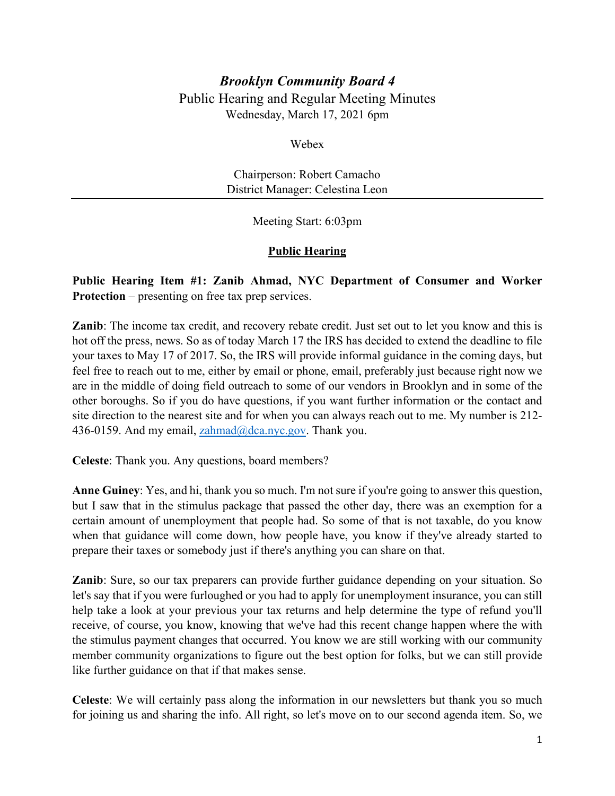# *Brooklyn Community Board 4* Public Hearing and Regular Meeting Minutes Wednesday, March 17, 2021 6pm

Webex

Chairperson: Robert Camacho District Manager: Celestina Leon

Meeting Start: 6:03pm

# **Public Hearing**

**Public Hearing Item #1: Zanib Ahmad, NYC Department of Consumer and Worker Protection** – presenting on free tax prep services.

**Zanib**: The income tax credit, and recovery rebate credit. Just set out to let you know and this is hot off the press, news. So as of today March 17 the IRS has decided to extend the deadline to file your taxes to May 17 of 2017. So, the IRS will provide informal guidance in the coming days, but feel free to reach out to me, either by email or phone, email, preferably just because right now we are in the middle of doing field outreach to some of our vendors in Brooklyn and in some of the other boroughs. So if you do have questions, if you want further information or the contact and site direction to the nearest site and for when you can always reach out to me. My number is 212 436-0159. And my email, [zahmad@dca.nyc.gov.](mailto:zahmad@dca.nyc.gov) Thank you.

**Celeste**: Thank you. Any questions, board members?

**Anne Guiney**: Yes, and hi, thank you so much. I'm not sure if you're going to answer this question, but I saw that in the stimulus package that passed the other day, there was an exemption for a certain amount of unemployment that people had. So some of that is not taxable, do you know when that guidance will come down, how people have, you know if they've already started to prepare their taxes or somebody just if there's anything you can share on that.

**Zanib**: Sure, so our tax preparers can provide further guidance depending on your situation. So let's say that if you were furloughed or you had to apply for unemployment insurance, you can still help take a look at your previous your tax returns and help determine the type of refund you'll receive, of course, you know, knowing that we've had this recent change happen where the with the stimulus payment changes that occurred. You know we are still working with our community member community organizations to figure out the best option for folks, but we can still provide like further guidance on that if that makes sense.

**Celeste**: We will certainly pass along the information in our newsletters but thank you so much for joining us and sharing the info. All right, so let's move on to our second agenda item. So, we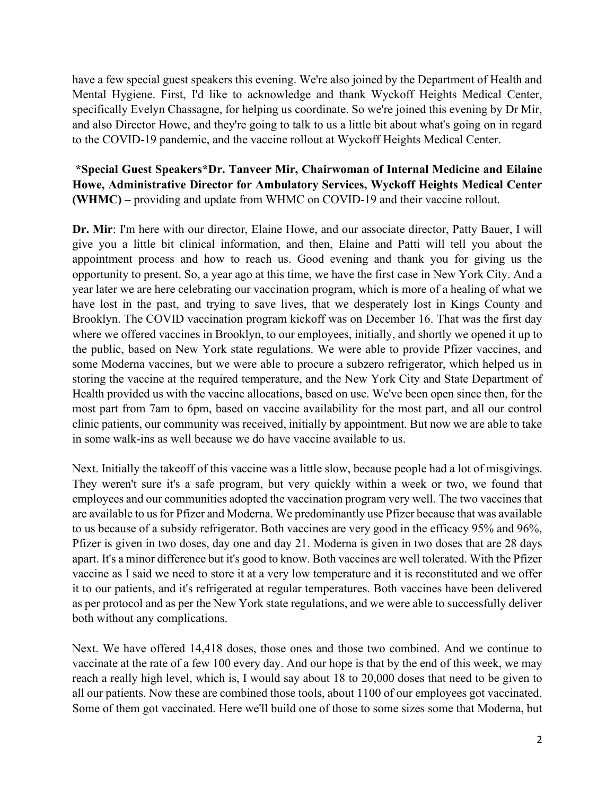have a few special guest speakers this evening. We're also joined by the Department of Health and Mental Hygiene. First, I'd like to acknowledge and thank Wyckoff Heights Medical Center, specifically Evelyn Chassagne, for helping us coordinate. So we're joined this evening by Dr Mir, and also Director Howe, and they're going to talk to us a little bit about what's going on in regard to the COVID-19 pandemic, and the vaccine rollout at Wyckoff Heights Medical Center.

# **\*Special Guest Speakers\*Dr. Tanveer Mir, Chairwoman of Internal Medicine and Eilaine Howe, Administrative Director for Ambulatory Services, Wyckoff Heights Medical Center (WHMC) –** providing and update from WHMC on COVID-19 and their vaccine rollout.

**Dr. Mir**: I'm here with our director, Elaine Howe, and our associate director, Patty Bauer, I will give you a little bit clinical information, and then, Elaine and Patti will tell you about the appointment process and how to reach us. Good evening and thank you for giving us the opportunity to present. So, a year ago at this time, we have the first case in New York City. And a year later we are here celebrating our vaccination program, which is more of a healing of what we have lost in the past, and trying to save lives, that we desperately lost in Kings County and Brooklyn. The COVID vaccination program kickoff was on December 16. That was the first day where we offered vaccines in Brooklyn, to our employees, initially, and shortly we opened it up to the public, based on New York state regulations. We were able to provide Pfizer vaccines, and some Moderna vaccines, but we were able to procure a subzero refrigerator, which helped us in storing the vaccine at the required temperature, and the New York City and State Department of Health provided us with the vaccine allocations, based on use. We've been open since then, for the most part from 7am to 6pm, based on vaccine availability for the most part, and all our control clinic patients, our community was received, initially by appointment. But now we are able to take in some walk-ins as well because we do have vaccine available to us.

Next. Initially the takeoff of this vaccine was a little slow, because people had a lot of misgivings. They weren't sure it's a safe program, but very quickly within a week or two, we found that employees and our communities adopted the vaccination program very well. The two vaccines that are available to us for Pfizer and Moderna. We predominantly use Pfizer because that was available to us because of a subsidy refrigerator. Both vaccines are very good in the efficacy 95% and 96%, Pfizer is given in two doses, day one and day 21. Moderna is given in two doses that are 28 days apart. It's a minor difference but it's good to know. Both vaccines are well tolerated. With the Pfizer vaccine as I said we need to store it at a very low temperature and it is reconstituted and we offer it to our patients, and it's refrigerated at regular temperatures. Both vaccines have been delivered as per protocol and as per the New York state regulations, and we were able to successfully deliver both without any complications.

Next. We have offered 14,418 doses, those ones and those two combined. And we continue to vaccinate at the rate of a few 100 every day. And our hope is that by the end of this week, we may reach a really high level, which is, I would say about 18 to 20,000 doses that need to be given to all our patients. Now these are combined those tools, about 1100 of our employees got vaccinated. Some of them got vaccinated. Here we'll build one of those to some sizes some that Moderna, but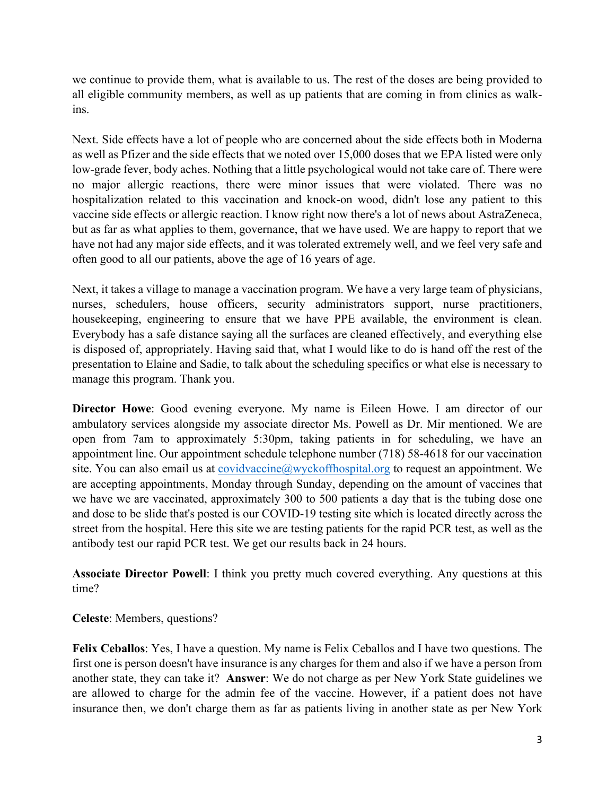we continue to provide them, what is available to us. The rest of the doses are being provided to all eligible community members, as well as up patients that are coming in from clinics as walkins.

Next. Side effects have a lot of people who are concerned about the side effects both in Moderna as well as Pfizer and the side effects that we noted over 15,000 doses that we EPA listed were only low-grade fever, body aches. Nothing that a little psychological would not take care of. There were no major allergic reactions, there were minor issues that were violated. There was no hospitalization related to this vaccination and knock-on wood, didn't lose any patient to this vaccine side effects or allergic reaction. I know right now there's a lot of news about AstraZeneca, but as far as what applies to them, governance, that we have used. We are happy to report that we have not had any major side effects, and it was tolerated extremely well, and we feel very safe and often good to all our patients, above the age of 16 years of age.

Next, it takes a village to manage a vaccination program. We have a very large team of physicians, nurses, schedulers, house officers, security administrators support, nurse practitioners, housekeeping, engineering to ensure that we have PPE available, the environment is clean. Everybody has a safe distance saying all the surfaces are cleaned effectively, and everything else is disposed of, appropriately. Having said that, what I would like to do is hand off the rest of the presentation to Elaine and Sadie, to talk about the scheduling specifics or what else is necessary to manage this program. Thank you.

**Director Howe**: Good evening everyone. My name is Eileen Howe. I am director of our ambulatory services alongside my associate director Ms. Powell as Dr. Mir mentioned. We are open from 7am to approximately 5:30pm, taking patients in for scheduling, we have an appointment line. Our appointment schedule telephone number (718) 58-4618 for our vaccination site. You can also email us at  $covidvacine@wyckoffhospital.org$  to request an appointment. We are accepting appointments, Monday through Sunday, depending on the amount of vaccines that we have we are vaccinated, approximately 300 to 500 patients a day that is the tubing dose one and dose to be slide that's posted is our COVID-19 testing site which is located directly across the street from the hospital. Here this site we are testing patients for the rapid PCR test, as well as the antibody test our rapid PCR test. We get our results back in 24 hours.

**Associate Director Powell**: I think you pretty much covered everything. Any questions at this time?

**Celeste**: Members, questions?

**Felix Ceballos**: Yes, I have a question. My name is Felix Ceballos and I have two questions. The first one is person doesn't have insurance is any charges for them and also if we have a person from another state, they can take it? **Answer**: We do not charge as per New York State guidelines we are allowed to charge for the admin fee of the vaccine. However, if a patient does not have insurance then, we don't charge them as far as patients living in another state as per New York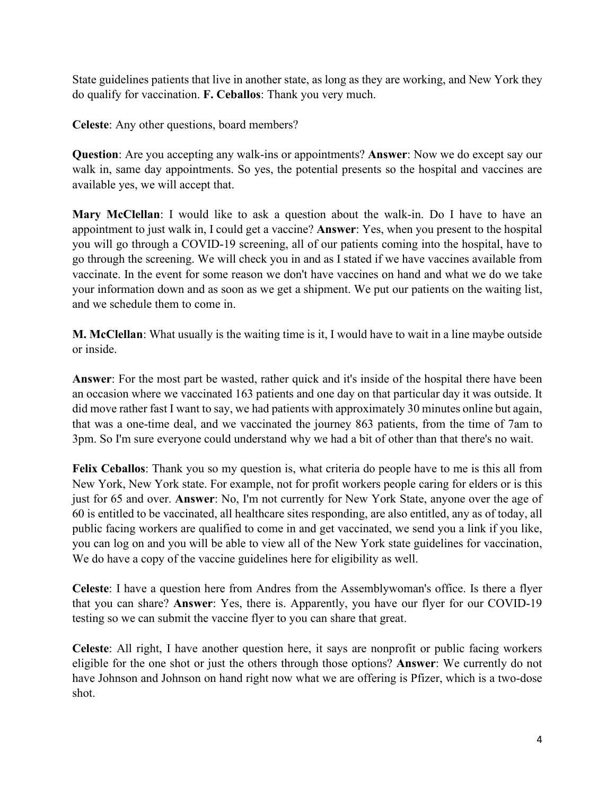State guidelines patients that live in another state, as long as they are working, and New York they do qualify for vaccination. **F. Ceballos**: Thank you very much.

**Celeste**: Any other questions, board members?

**Question**: Are you accepting any walk-ins or appointments? **Answer**: Now we do except say our walk in, same day appointments. So yes, the potential presents so the hospital and vaccines are available yes, we will accept that.

**Mary McClellan**: I would like to ask a question about the walk-in. Do I have to have an appointment to just walk in, I could get a vaccine? **Answer**: Yes, when you present to the hospital you will go through a COVID-19 screening, all of our patients coming into the hospital, have to go through the screening. We will check you in and as I stated if we have vaccines available from vaccinate. In the event for some reason we don't have vaccines on hand and what we do we take your information down and as soon as we get a shipment. We put our patients on the waiting list, and we schedule them to come in.

**M. McClellan**: What usually is the waiting time is it, I would have to wait in a line maybe outside or inside.

**Answer**: For the most part be wasted, rather quick and it's inside of the hospital there have been an occasion where we vaccinated 163 patients and one day on that particular day it was outside. It did move rather fast I want to say, we had patients with approximately 30 minutes online but again, that was a one-time deal, and we vaccinated the journey 863 patients, from the time of 7am to 3pm. So I'm sure everyone could understand why we had a bit of other than that there's no wait.

**Felix Ceballos**: Thank you so my question is, what criteria do people have to me is this all from New York, New York state. For example, not for profit workers people caring for elders or is this just for 65 and over. **Answer**: No, I'm not currently for New York State, anyone over the age of 60 is entitled to be vaccinated, all healthcare sites responding, are also entitled, any as of today, all public facing workers are qualified to come in and get vaccinated, we send you a link if you like, you can log on and you will be able to view all of the New York state guidelines for vaccination, We do have a copy of the vaccine guidelines here for eligibility as well.

**Celeste**: I have a question here from Andres from the Assemblywoman's office. Is there a flyer that you can share? **Answer**: Yes, there is. Apparently, you have our flyer for our COVID-19 testing so we can submit the vaccine flyer to you can share that great.

**Celeste**: All right, I have another question here, it says are nonprofit or public facing workers eligible for the one shot or just the others through those options? **Answer**: We currently do not have Johnson and Johnson on hand right now what we are offering is Pfizer, which is a two-dose shot.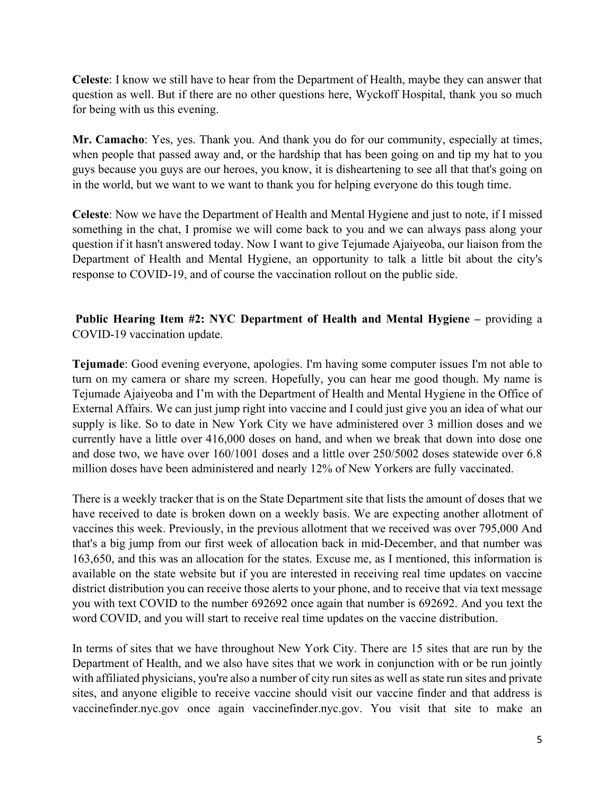**Celeste**: I know we still have to hear from the Department of Health, maybe they can answer that question as well. But if there are no other questions here, Wyckoff Hospital, thank you so much for being with us this evening.

**Mr. Camacho**: Yes, yes. Thank you. And thank you do for our community, especially at times, when people that passed away and, or the hardship that has been going on and tip my hat to you guys because you guys are our heroes, you know, it is disheartening to see all that that's going on in the world, but we want to we want to thank you for helping everyone do this tough time.

**Celeste**: Now we have the Department of Health and Mental Hygiene and just to note, if I missed something in the chat, I promise we will come back to you and we can always pass along your question if it hasn't answered today. Now I want to give Tejumade Ajaiyeoba, our liaison from the Department of Health and Mental Hygiene, an opportunity to talk a little bit about the city's response to COVID-19, and of course the vaccination rollout on the public side.

**Public Hearing Item #2: NYC Department of Health and Mental Hygiene –** providing a COVID-19 vaccination update.

**Tejumade**: Good evening everyone, apologies. I'm having some computer issues I'm not able to turn on my camera or share my screen. Hopefully, you can hear me good though. My name is Tejumade Ajaiyeoba and I'm with the Department of Health and Mental Hygiene in the Office of External Affairs. We can just jump right into vaccine and I could just give you an idea of what our supply is like. So to date in New York City we have administered over 3 million doses and we currently have a little over 416,000 doses on hand, and when we break that down into dose one and dose two, we have over 160/1001 doses and a little over 250/5002 doses statewide over 6.8 million doses have been administered and nearly 12% of New Yorkers are fully vaccinated.

There is a weekly tracker that is on the State Department site that lists the amount of doses that we have received to date is broken down on a weekly basis. We are expecting another allotment of vaccines this week. Previously, in the previous allotment that we received was over 795,000 And that's a big jump from our first week of allocation back in mid-December, and that number was 163,650, and this was an allocation for the states. Excuse me, as I mentioned, this information is available on the state website but if you are interested in receiving real time updates on vaccine district distribution you can receive those alerts to your phone, and to receive that via text message you with text COVID to the number 692692 once again that number is 692692. And you text the word COVID, and you will start to receive real time updates on the vaccine distribution.

In terms of sites that we have throughout New York City. There are 15 sites that are run by the Department of Health, and we also have sites that we work in conjunction with or be run jointly with affiliated physicians, you're also a number of city run sites as well as state run sites and private sites, and anyone eligible to receive vaccine should visit our vaccine finder and that address is vaccinefinder.nyc.gov once again vaccinefinder.nyc.gov. You visit that site to make an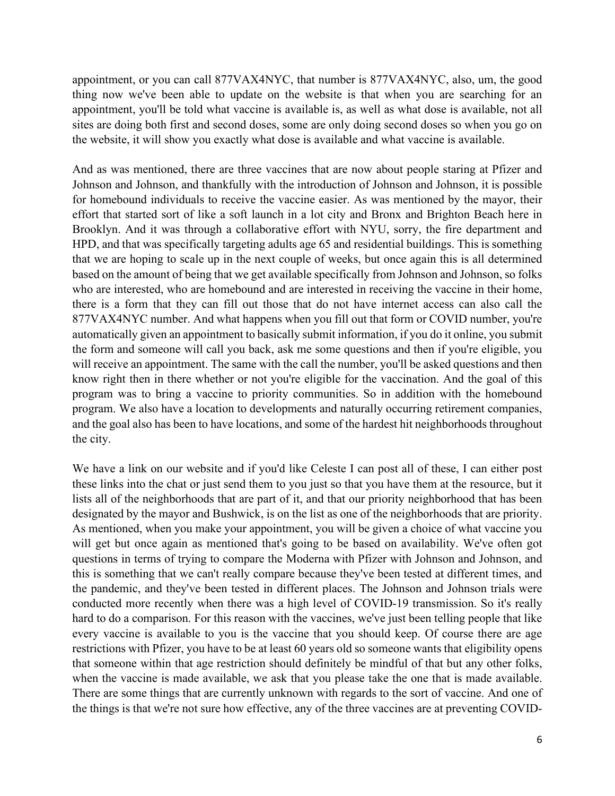appointment, or you can call 877VAX4NYC, that number is 877VAX4NYC, also, um, the good thing now we've been able to update on the website is that when you are searching for an appointment, you'll be told what vaccine is available is, as well as what dose is available, not all sites are doing both first and second doses, some are only doing second doses so when you go on the website, it will show you exactly what dose is available and what vaccine is available.

And as was mentioned, there are three vaccines that are now about people staring at Pfizer and Johnson and Johnson, and thankfully with the introduction of Johnson and Johnson, it is possible for homebound individuals to receive the vaccine easier. As was mentioned by the mayor, their effort that started sort of like a soft launch in a lot city and Bronx and Brighton Beach here in Brooklyn. And it was through a collaborative effort with NYU, sorry, the fire department and HPD, and that was specifically targeting adults age 65 and residential buildings. This is something that we are hoping to scale up in the next couple of weeks, but once again this is all determined based on the amount of being that we get available specifically from Johnson and Johnson, so folks who are interested, who are homebound and are interested in receiving the vaccine in their home, there is a form that they can fill out those that do not have internet access can also call the 877VAX4NYC number. And what happens when you fill out that form or COVID number, you're automatically given an appointment to basically submit information, if you do it online, you submit the form and someone will call you back, ask me some questions and then if you're eligible, you will receive an appointment. The same with the call the number, you'll be asked questions and then know right then in there whether or not you're eligible for the vaccination. And the goal of this program was to bring a vaccine to priority communities. So in addition with the homebound program. We also have a location to developments and naturally occurring retirement companies, and the goal also has been to have locations, and some of the hardest hit neighborhoods throughout the city.

We have a link on our website and if you'd like Celeste I can post all of these, I can either post these links into the chat or just send them to you just so that you have them at the resource, but it lists all of the neighborhoods that are part of it, and that our priority neighborhood that has been designated by the mayor and Bushwick, is on the list as one of the neighborhoods that are priority. As mentioned, when you make your appointment, you will be given a choice of what vaccine you will get but once again as mentioned that's going to be based on availability. We've often got questions in terms of trying to compare the Moderna with Pfizer with Johnson and Johnson, and this is something that we can't really compare because they've been tested at different times, and the pandemic, and they've been tested in different places. The Johnson and Johnson trials were conducted more recently when there was a high level of COVID-19 transmission. So it's really hard to do a comparison. For this reason with the vaccines, we've just been telling people that like every vaccine is available to you is the vaccine that you should keep. Of course there are age restrictions with Pfizer, you have to be at least 60 years old so someone wants that eligibility opens that someone within that age restriction should definitely be mindful of that but any other folks, when the vaccine is made available, we ask that you please take the one that is made available. There are some things that are currently unknown with regards to the sort of vaccine. And one of the things is that we're not sure how effective, any of the three vaccines are at preventing COVID-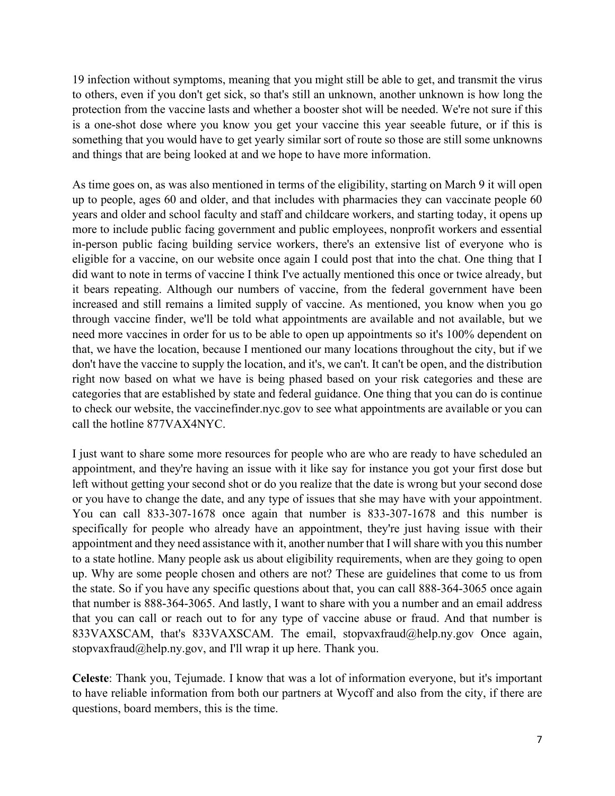19 infection without symptoms, meaning that you might still be able to get, and transmit the virus to others, even if you don't get sick, so that's still an unknown, another unknown is how long the protection from the vaccine lasts and whether a booster shot will be needed. We're not sure if this is a one-shot dose where you know you get your vaccine this year seeable future, or if this is something that you would have to get yearly similar sort of route so those are still some unknowns and things that are being looked at and we hope to have more information.

As time goes on, as was also mentioned in terms of the eligibility, starting on March 9 it will open up to people, ages 60 and older, and that includes with pharmacies they can vaccinate people 60 years and older and school faculty and staff and childcare workers, and starting today, it opens up more to include public facing government and public employees, nonprofit workers and essential in-person public facing building service workers, there's an extensive list of everyone who is eligible for a vaccine, on our website once again I could post that into the chat. One thing that I did want to note in terms of vaccine I think I've actually mentioned this once or twice already, but it bears repeating. Although our numbers of vaccine, from the federal government have been increased and still remains a limited supply of vaccine. As mentioned, you know when you go through vaccine finder, we'll be told what appointments are available and not available, but we need more vaccines in order for us to be able to open up appointments so it's 100% dependent on that, we have the location, because I mentioned our many locations throughout the city, but if we don't have the vaccine to supply the location, and it's, we can't. It can't be open, and the distribution right now based on what we have is being phased based on your risk categories and these are categories that are established by state and federal guidance. One thing that you can do is continue to check our website, the vaccinefinder.nyc.gov to see what appointments are available or you can call the hotline 877VAX4NYC.

I just want to share some more resources for people who are who are ready to have scheduled an appointment, and they're having an issue with it like say for instance you got your first dose but left without getting your second shot or do you realize that the date is wrong but your second dose or you have to change the date, and any type of issues that she may have with your appointment. You can call 833-307-1678 once again that number is 833-307-1678 and this number is specifically for people who already have an appointment, they're just having issue with their appointment and they need assistance with it, another number that I will share with you this number to a state hotline. Many people ask us about eligibility requirements, when are they going to open up. Why are some people chosen and others are not? These are guidelines that come to us from the state. So if you have any specific questions about that, you can call 888-364-3065 once again that number is 888-364-3065. And lastly, I want to share with you a number and an email address that you can call or reach out to for any type of vaccine abuse or fraud. And that number is 833VAXSCAM, that's 833VAXSCAM. The email, stopvaxfraud@help.ny.gov Once again, stopvaxfraud@help.ny.gov, and I'll wrap it up here. Thank you.

**Celeste**: Thank you, Tejumade. I know that was a lot of information everyone, but it's important to have reliable information from both our partners at Wycoff and also from the city, if there are questions, board members, this is the time.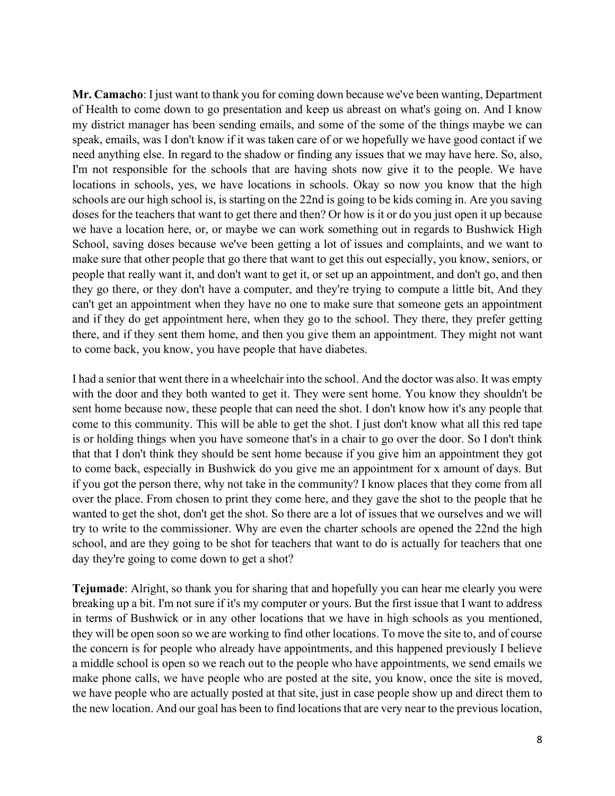**Mr. Camacho**: I just want to thank you for coming down because we've been wanting, Department of Health to come down to go presentation and keep us abreast on what's going on. And I know my district manager has been sending emails, and some of the some of the things maybe we can speak, emails, was I don't know if it was taken care of or we hopefully we have good contact if we need anything else. In regard to the shadow or finding any issues that we may have here. So, also, I'm not responsible for the schools that are having shots now give it to the people. We have locations in schools, yes, we have locations in schools. Okay so now you know that the high schools are our high school is, is starting on the 22nd is going to be kids coming in. Are you saving doses for the teachers that want to get there and then? Or how is it or do you just open it up because we have a location here, or, or maybe we can work something out in regards to Bushwick High School, saving doses because we've been getting a lot of issues and complaints, and we want to make sure that other people that go there that want to get this out especially, you know, seniors, or people that really want it, and don't want to get it, or set up an appointment, and don't go, and then they go there, or they don't have a computer, and they're trying to compute a little bit, And they can't get an appointment when they have no one to make sure that someone gets an appointment and if they do get appointment here, when they go to the school. They there, they prefer getting there, and if they sent them home, and then you give them an appointment. They might not want to come back, you know, you have people that have diabetes.

I had a senior that went there in a wheelchair into the school. And the doctor was also. It was empty with the door and they both wanted to get it. They were sent home. You know they shouldn't be sent home because now, these people that can need the shot. I don't know how it's any people that come to this community. This will be able to get the shot. I just don't know what all this red tape is or holding things when you have someone that's in a chair to go over the door. So I don't think that that I don't think they should be sent home because if you give him an appointment they got to come back, especially in Bushwick do you give me an appointment for x amount of days. But if you got the person there, why not take in the community? I know places that they come from all over the place. From chosen to print they come here, and they gave the shot to the people that he wanted to get the shot, don't get the shot. So there are a lot of issues that we ourselves and we will try to write to the commissioner. Why are even the charter schools are opened the 22nd the high school, and are they going to be shot for teachers that want to do is actually for teachers that one day they're going to come down to get a shot?

**Tejumade**: Alright, so thank you for sharing that and hopefully you can hear me clearly you were breaking up a bit. I'm not sure if it's my computer or yours. But the first issue that I want to address in terms of Bushwick or in any other locations that we have in high schools as you mentioned, they will be open soon so we are working to find other locations. To move the site to, and of course the concern is for people who already have appointments, and this happened previously I believe a middle school is open so we reach out to the people who have appointments, we send emails we make phone calls, we have people who are posted at the site, you know, once the site is moved, we have people who are actually posted at that site, just in case people show up and direct them to the new location. And our goal has been to find locations that are very near to the previous location,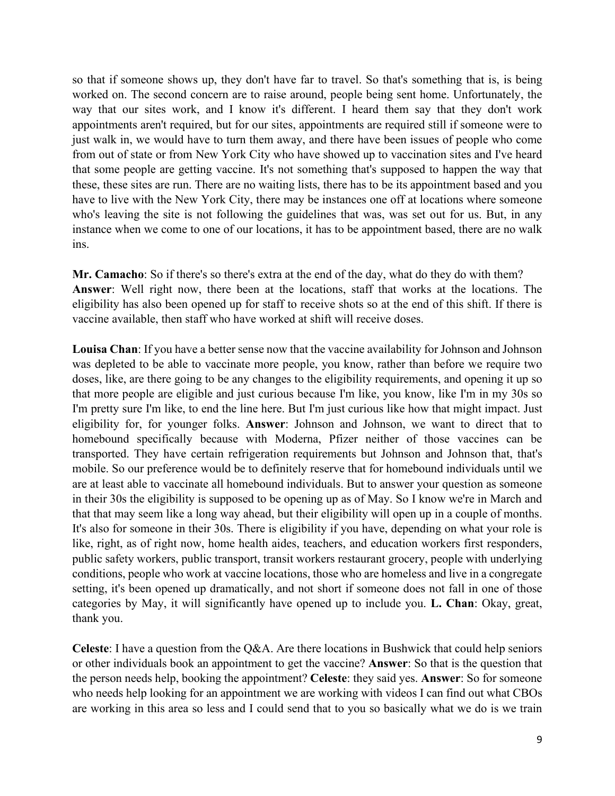so that if someone shows up, they don't have far to travel. So that's something that is, is being worked on. The second concern are to raise around, people being sent home. Unfortunately, the way that our sites work, and I know it's different. I heard them say that they don't work appointments aren't required, but for our sites, appointments are required still if someone were to just walk in, we would have to turn them away, and there have been issues of people who come from out of state or from New York City who have showed up to vaccination sites and I've heard that some people are getting vaccine. It's not something that's supposed to happen the way that these, these sites are run. There are no waiting lists, there has to be its appointment based and you have to live with the New York City, there may be instances one off at locations where someone who's leaving the site is not following the guidelines that was, was set out for us. But, in any instance when we come to one of our locations, it has to be appointment based, there are no walk ins.

**Mr. Camacho**: So if there's so there's extra at the end of the day, what do they do with them? **Answer**: Well right now, there been at the locations, staff that works at the locations. The eligibility has also been opened up for staff to receive shots so at the end of this shift. If there is vaccine available, then staff who have worked at shift will receive doses.

**Louisa Chan**: If you have a better sense now that the vaccine availability for Johnson and Johnson was depleted to be able to vaccinate more people, you know, rather than before we require two doses, like, are there going to be any changes to the eligibility requirements, and opening it up so that more people are eligible and just curious because I'm like, you know, like I'm in my 30s so I'm pretty sure I'm like, to end the line here. But I'm just curious like how that might impact. Just eligibility for, for younger folks. **Answer**: Johnson and Johnson, we want to direct that to homebound specifically because with Moderna, Pfizer neither of those vaccines can be transported. They have certain refrigeration requirements but Johnson and Johnson that, that's mobile. So our preference would be to definitely reserve that for homebound individuals until we are at least able to vaccinate all homebound individuals. But to answer your question as someone in their 30s the eligibility is supposed to be opening up as of May. So I know we're in March and that that may seem like a long way ahead, but their eligibility will open up in a couple of months. It's also for someone in their 30s. There is eligibility if you have, depending on what your role is like, right, as of right now, home health aides, teachers, and education workers first responders, public safety workers, public transport, transit workers restaurant grocery, people with underlying conditions, people who work at vaccine locations, those who are homeless and live in a congregate setting, it's been opened up dramatically, and not short if someone does not fall in one of those categories by May, it will significantly have opened up to include you. **L. Chan**: Okay, great, thank you.

**Celeste**: I have a question from the Q&A. Are there locations in Bushwick that could help seniors or other individuals book an appointment to get the vaccine? **Answer**: So that is the question that the person needs help, booking the appointment? **Celeste**: they said yes. **Answer**: So for someone who needs help looking for an appointment we are working with videos I can find out what CBOs are working in this area so less and I could send that to you so basically what we do is we train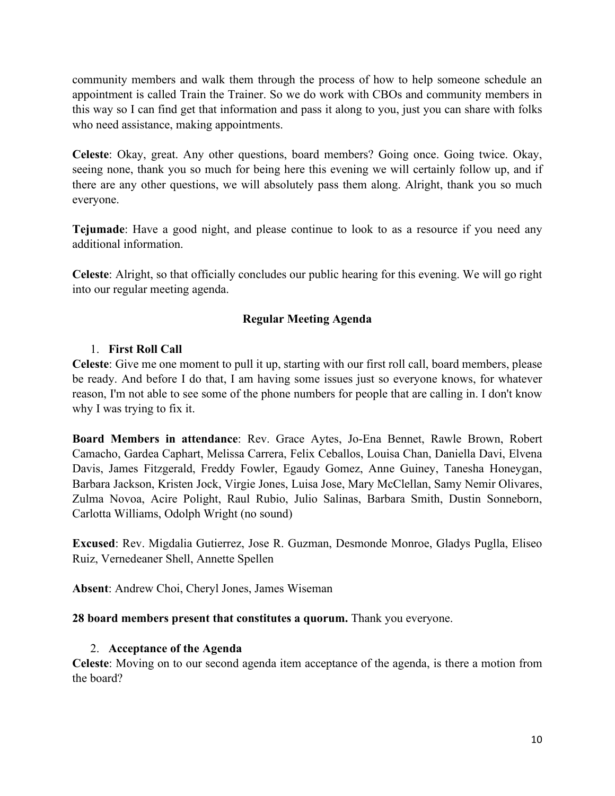community members and walk them through the process of how to help someone schedule an appointment is called Train the Trainer. So we do work with CBOs and community members in this way so I can find get that information and pass it along to you, just you can share with folks who need assistance, making appointments.

**Celeste**: Okay, great. Any other questions, board members? Going once. Going twice. Okay, seeing none, thank you so much for being here this evening we will certainly follow up, and if there are any other questions, we will absolutely pass them along. Alright, thank you so much everyone.

**Tejumade**: Have a good night, and please continue to look to as a resource if you need any additional information.

**Celeste**: Alright, so that officially concludes our public hearing for this evening. We will go right into our regular meeting agenda.

### **Regular Meeting Agenda**

#### 1. **First Roll Call**

**Celeste**: Give me one moment to pull it up, starting with our first roll call, board members, please be ready. And before I do that, I am having some issues just so everyone knows, for whatever reason, I'm not able to see some of the phone numbers for people that are calling in. I don't know why I was trying to fix it.

**Board Members in attendance**: Rev. Grace Aytes, Jo-Ena Bennet, Rawle Brown, Robert Camacho, Gardea Caphart, Melissa Carrera, Felix Ceballos, Louisa Chan, Daniella Davi, Elvena Davis, James Fitzgerald, Freddy Fowler, Egaudy Gomez, Anne Guiney, Tanesha Honeygan, Barbara Jackson, Kristen Jock, Virgie Jones, Luisa Jose, Mary McClellan, Samy Nemir Olivares, Zulma Novoa, Acire Polight, Raul Rubio, Julio Salinas, Barbara Smith, Dustin Sonneborn, Carlotta Williams, Odolph Wright (no sound)

**Excused**: Rev. Migdalia Gutierrez, Jose R. Guzman, Desmonde Monroe, Gladys Puglla, Eliseo Ruiz, Vernedeaner Shell, Annette Spellen

**Absent**: Andrew Choi, Cheryl Jones, James Wiseman

#### **28 board members present that constitutes a quorum.** Thank you everyone.

### 2. **Acceptance of the Agenda**

**Celeste**: Moving on to our second agenda item acceptance of the agenda, is there a motion from the board?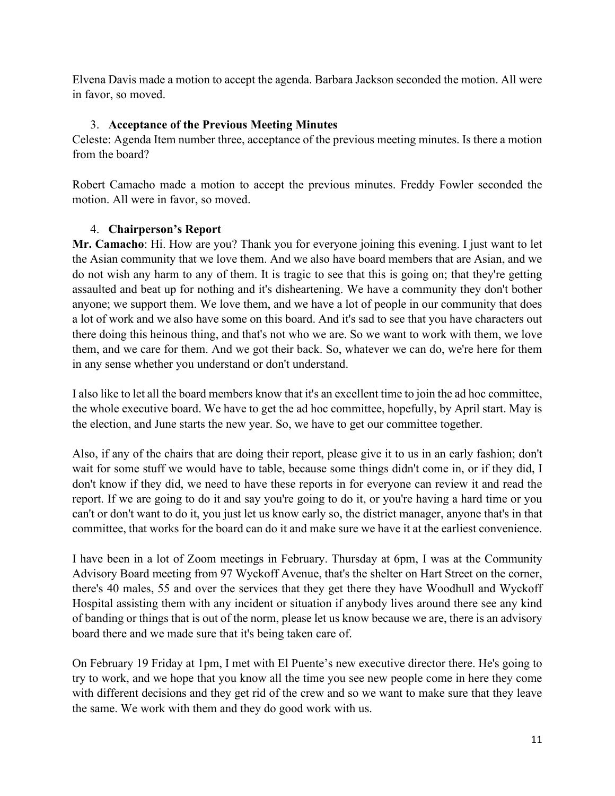Elvena Davis made a motion to accept the agenda. Barbara Jackson seconded the motion. All were in favor, so moved.

# 3. **Acceptance of the Previous Meeting Minutes**

Celeste: Agenda Item number three, acceptance of the previous meeting minutes. Is there a motion from the board?

Robert Camacho made a motion to accept the previous minutes. Freddy Fowler seconded the motion. All were in favor, so moved.

# 4. **Chairperson's Report**

**Mr. Camacho**: Hi. How are you? Thank you for everyone joining this evening. I just want to let the Asian community that we love them. And we also have board members that are Asian, and we do not wish any harm to any of them. It is tragic to see that this is going on; that they're getting assaulted and beat up for nothing and it's disheartening. We have a community they don't bother anyone; we support them. We love them, and we have a lot of people in our community that does a lot of work and we also have some on this board. And it's sad to see that you have characters out there doing this heinous thing, and that's not who we are. So we want to work with them, we love them, and we care for them. And we got their back. So, whatever we can do, we're here for them in any sense whether you understand or don't understand.

I also like to let all the board members know that it's an excellent time to join the ad hoc committee, the whole executive board. We have to get the ad hoc committee, hopefully, by April start. May is the election, and June starts the new year. So, we have to get our committee together.

Also, if any of the chairs that are doing their report, please give it to us in an early fashion; don't wait for some stuff we would have to table, because some things didn't come in, or if they did, I don't know if they did, we need to have these reports in for everyone can review it and read the report. If we are going to do it and say you're going to do it, or you're having a hard time or you can't or don't want to do it, you just let us know early so, the district manager, anyone that's in that committee, that works for the board can do it and make sure we have it at the earliest convenience.

I have been in a lot of Zoom meetings in February. Thursday at 6pm, I was at the Community Advisory Board meeting from 97 Wyckoff Avenue, that's the shelter on Hart Street on the corner, there's 40 males, 55 and over the services that they get there they have Woodhull and Wyckoff Hospital assisting them with any incident or situation if anybody lives around there see any kind of banding or things that is out of the norm, please let us know because we are, there is an advisory board there and we made sure that it's being taken care of.

On February 19 Friday at 1pm, I met with El Puente's new executive director there. He's going to try to work, and we hope that you know all the time you see new people come in here they come with different decisions and they get rid of the crew and so we want to make sure that they leave the same. We work with them and they do good work with us.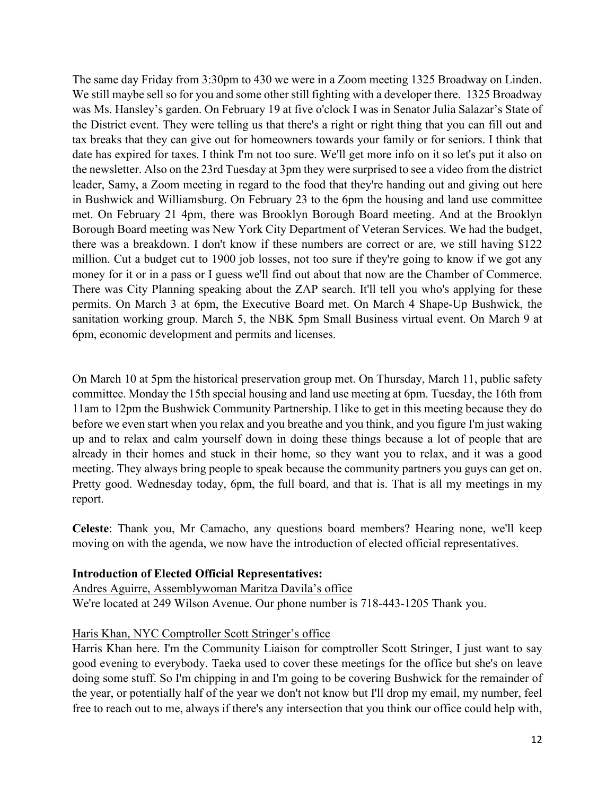The same day Friday from 3:30pm to 430 we were in a Zoom meeting 1325 Broadway on Linden. We still maybe sell so for you and some other still fighting with a developer there. 1325 Broadway was Ms. Hansley's garden. On February 19 at five o'clock I was in Senator Julia Salazar's State of the District event. They were telling us that there's a right or right thing that you can fill out and tax breaks that they can give out for homeowners towards your family or for seniors. I think that date has expired for taxes. I think I'm not too sure. We'll get more info on it so let's put it also on the newsletter. Also on the 23rd Tuesday at 3pm they were surprised to see a video from the district leader, Samy, a Zoom meeting in regard to the food that they're handing out and giving out here in Bushwick and Williamsburg. On February 23 to the 6pm the housing and land use committee met. On February 21 4pm, there was Brooklyn Borough Board meeting. And at the Brooklyn Borough Board meeting was New York City Department of Veteran Services. We had the budget, there was a breakdown. I don't know if these numbers are correct or are, we still having \$122 million. Cut a budget cut to 1900 job losses, not too sure if they're going to know if we got any money for it or in a pass or I guess we'll find out about that now are the Chamber of Commerce. There was City Planning speaking about the ZAP search. It'll tell you who's applying for these permits. On March 3 at 6pm, the Executive Board met. On March 4 Shape-Up Bushwick, the sanitation working group. March 5, the NBK 5pm Small Business virtual event. On March 9 at 6pm, economic development and permits and licenses.

On March 10 at 5pm the historical preservation group met. On Thursday, March 11, public safety committee. Monday the 15th special housing and land use meeting at 6pm. Tuesday, the 16th from 11am to 12pm the Bushwick Community Partnership. I like to get in this meeting because they do before we even start when you relax and you breathe and you think, and you figure I'm just waking up and to relax and calm yourself down in doing these things because a lot of people that are already in their homes and stuck in their home, so they want you to relax, and it was a good meeting. They always bring people to speak because the community partners you guys can get on. Pretty good. Wednesday today, 6pm, the full board, and that is. That is all my meetings in my report.

**Celeste**: Thank you, Mr Camacho, any questions board members? Hearing none, we'll keep moving on with the agenda, we now have the introduction of elected official representatives.

#### **Introduction of Elected Official Representatives:**

Andres Aguirre, Assemblywoman Maritza Davila's office We're located at 249 Wilson Avenue. Our phone number is 718-443-1205 Thank you.

#### Haris Khan, NYC Comptroller Scott Stringer's office

Harris Khan here. I'm the Community Liaison for comptroller Scott Stringer, I just want to say good evening to everybody. Taeka used to cover these meetings for the office but she's on leave doing some stuff. So I'm chipping in and I'm going to be covering Bushwick for the remainder of the year, or potentially half of the year we don't not know but I'll drop my email, my number, feel free to reach out to me, always if there's any intersection that you think our office could help with,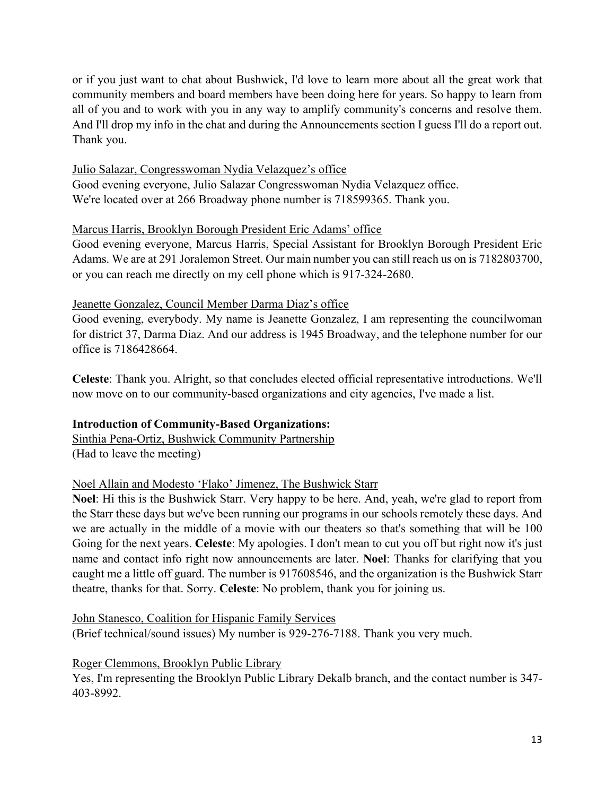or if you just want to chat about Bushwick, I'd love to learn more about all the great work that community members and board members have been doing here for years. So happy to learn from all of you and to work with you in any way to amplify community's concerns and resolve them. And I'll drop my info in the chat and during the Announcements section I guess I'll do a report out. Thank you.

### Julio Salazar, Congresswoman Nydia Velazquez's office

Good evening everyone, Julio Salazar Congresswoman Nydia Velazquez office. We're located over at 266 Broadway phone number is 718599365. Thank you.

# Marcus Harris, Brooklyn Borough President Eric Adams' office

Good evening everyone, Marcus Harris, Special Assistant for Brooklyn Borough President Eric Adams. We are at 291 Joralemon Street. Our main number you can still reach us on is 7182803700, or you can reach me directly on my cell phone which is 917-324-2680.

### Jeanette Gonzalez, Council Member Darma Diaz's office

Good evening, everybody. My name is Jeanette Gonzalez, I am representing the councilwoman for district 37, Darma Diaz. And our address is 1945 Broadway, and the telephone number for our office is 7186428664.

**Celeste**: Thank you. Alright, so that concludes elected official representative introductions. We'll now move on to our community-based organizations and city agencies, I've made a list.

### **Introduction of Community-Based Organizations:**

Sinthia Pena-Ortiz, Bushwick Community Partnership (Had to leave the meeting)

### Noel Allain and Modesto 'Flako' Jimenez, The Bushwick Starr

**Noel**: Hi this is the Bushwick Starr. Very happy to be here. And, yeah, we're glad to report from the Starr these days but we've been running our programs in our schools remotely these days. And we are actually in the middle of a movie with our theaters so that's something that will be 100 Going for the next years. **Celeste**: My apologies. I don't mean to cut you off but right now it's just name and contact info right now announcements are later. **Noel**: Thanks for clarifying that you caught me a little off guard. The number is 917608546, and the organization is the Bushwick Starr theatre, thanks for that. Sorry. **Celeste**: No problem, thank you for joining us.

John Stanesco, Coalition for Hispanic Family Services (Brief technical/sound issues) My number is 929-276-7188. Thank you very much.

### Roger Clemmons, Brooklyn Public Library

Yes, I'm representing the Brooklyn Public Library Dekalb branch, and the contact number is 347- 403-8992.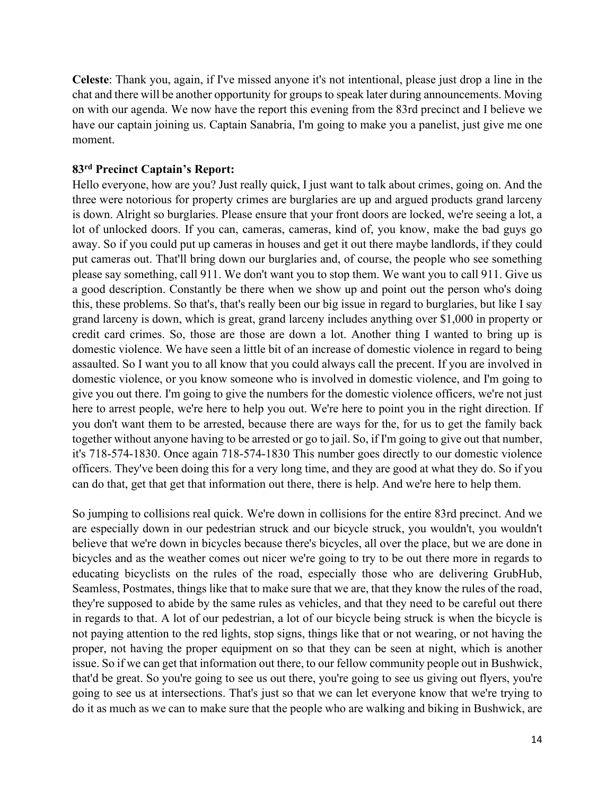**Celeste**: Thank you, again, if I've missed anyone it's not intentional, please just drop a line in the chat and there will be another opportunity for groups to speak later during announcements. Moving on with our agenda. We now have the report this evening from the 83rd precinct and I believe we have our captain joining us. Captain Sanabria, I'm going to make you a panelist, just give me one moment.

#### **83rd Precinct Captain's Report:**

Hello everyone, how are you? Just really quick, I just want to talk about crimes, going on. And the three were notorious for property crimes are burglaries are up and argued products grand larceny is down. Alright so burglaries. Please ensure that your front doors are locked, we're seeing a lot, a lot of unlocked doors. If you can, cameras, cameras, kind of, you know, make the bad guys go away. So if you could put up cameras in houses and get it out there maybe landlords, if they could put cameras out. That'll bring down our burglaries and, of course, the people who see something please say something, call 911. We don't want you to stop them. We want you to call 911. Give us a good description. Constantly be there when we show up and point out the person who's doing this, these problems. So that's, that's really been our big issue in regard to burglaries, but like I say grand larceny is down, which is great, grand larceny includes anything over \$1,000 in property or credit card crimes. So, those are those are down a lot. Another thing I wanted to bring up is domestic violence. We have seen a little bit of an increase of domestic violence in regard to being assaulted. So I want you to all know that you could always call the precent. If you are involved in domestic violence, or you know someone who is involved in domestic violence, and I'm going to give you out there. I'm going to give the numbers for the domestic violence officers, we're not just here to arrest people, we're here to help you out. We're here to point you in the right direction. If you don't want them to be arrested, because there are ways for the, for us to get the family back together without anyone having to be arrested or go to jail. So, if I'm going to give out that number, it's 718-574-1830. Once again 718-574-1830 This number goes directly to our domestic violence officers. They've been doing this for a very long time, and they are good at what they do. So if you can do that, get that get that information out there, there is help. And we're here to help them.

So jumping to collisions real quick. We're down in collisions for the entire 83rd precinct. And we are especially down in our pedestrian struck and our bicycle struck, you wouldn't, you wouldn't believe that we're down in bicycles because there's bicycles, all over the place, but we are done in bicycles and as the weather comes out nicer we're going to try to be out there more in regards to educating bicyclists on the rules of the road, especially those who are delivering GrubHub, Seamless, Postmates, things like that to make sure that we are, that they know the rules of the road, they're supposed to abide by the same rules as vehicles, and that they need to be careful out there in regards to that. A lot of our pedestrian, a lot of our bicycle being struck is when the bicycle is not paying attention to the red lights, stop signs, things like that or not wearing, or not having the proper, not having the proper equipment on so that they can be seen at night, which is another issue. So if we can get that information out there, to our fellow community people out in Bushwick, that'd be great. So you're going to see us out there, you're going to see us giving out flyers, you're going to see us at intersections. That's just so that we can let everyone know that we're trying to do it as much as we can to make sure that the people who are walking and biking in Bushwick, are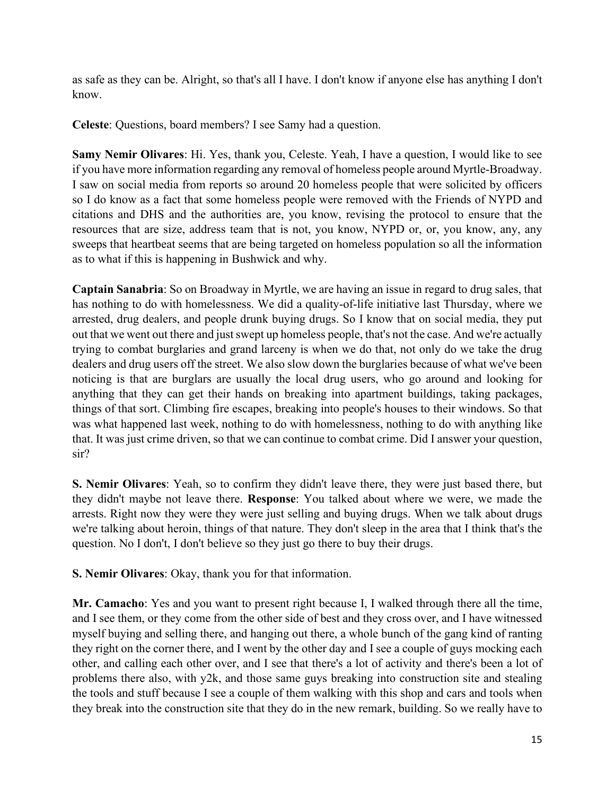as safe as they can be. Alright, so that's all I have. I don't know if anyone else has anything I don't know.

**Celeste**: Questions, board members? I see Samy had a question.

**Samy Nemir Olivares**: Hi. Yes, thank you, Celeste. Yeah, I have a question, I would like to see if you have more information regarding any removal of homeless people around Myrtle-Broadway. I saw on social media from reports so around 20 homeless people that were solicited by officers so I do know as a fact that some homeless people were removed with the Friends of NYPD and citations and DHS and the authorities are, you know, revising the protocol to ensure that the resources that are size, address team that is not, you know, NYPD or, or, you know, any, any sweeps that heartbeat seems that are being targeted on homeless population so all the information as to what if this is happening in Bushwick and why.

**Captain Sanabria**: So on Broadway in Myrtle, we are having an issue in regard to drug sales, that has nothing to do with homelessness. We did a quality-of-life initiative last Thursday, where we arrested, drug dealers, and people drunk buying drugs. So I know that on social media, they put out that we went out there and just swept up homeless people, that's not the case. And we're actually trying to combat burglaries and grand larceny is when we do that, not only do we take the drug dealers and drug users off the street. We also slow down the burglaries because of what we've been noticing is that are burglars are usually the local drug users, who go around and looking for anything that they can get their hands on breaking into apartment buildings, taking packages, things of that sort. Climbing fire escapes, breaking into people's houses to their windows. So that was what happened last week, nothing to do with homelessness, nothing to do with anything like that. It was just crime driven, so that we can continue to combat crime. Did I answer your question, sir?

**S. Nemir Olivares**: Yeah, so to confirm they didn't leave there, they were just based there, but they didn't maybe not leave there. **Response**: You talked about where we were, we made the arrests. Right now they were they were just selling and buying drugs. When we talk about drugs we're talking about heroin, things of that nature. They don't sleep in the area that I think that's the question. No I don't, I don't believe so they just go there to buy their drugs.

**S. Nemir Olivares**: Okay, thank you for that information.

**Mr. Camacho**: Yes and you want to present right because I, I walked through there all the time, and I see them, or they come from the other side of best and they cross over, and I have witnessed myself buying and selling there, and hanging out there, a whole bunch of the gang kind of ranting they right on the corner there, and I went by the other day and I see a couple of guys mocking each other, and calling each other over, and I see that there's a lot of activity and there's been a lot of problems there also, with y2k, and those same guys breaking into construction site and stealing the tools and stuff because I see a couple of them walking with this shop and cars and tools when they break into the construction site that they do in the new remark, building. So we really have to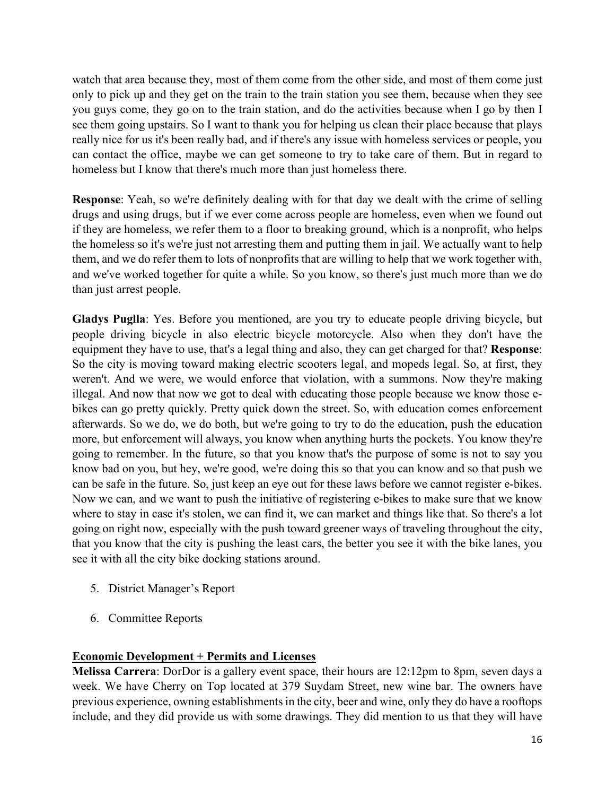watch that area because they, most of them come from the other side, and most of them come just only to pick up and they get on the train to the train station you see them, because when they see you guys come, they go on to the train station, and do the activities because when I go by then I see them going upstairs. So I want to thank you for helping us clean their place because that plays really nice for us it's been really bad, and if there's any issue with homeless services or people, you can contact the office, maybe we can get someone to try to take care of them. But in regard to homeless but I know that there's much more than just homeless there.

**Response**: Yeah, so we're definitely dealing with for that day we dealt with the crime of selling drugs and using drugs, but if we ever come across people are homeless, even when we found out if they are homeless, we refer them to a floor to breaking ground, which is a nonprofit, who helps the homeless so it's we're just not arresting them and putting them in jail. We actually want to help them, and we do refer them to lots of nonprofits that are willing to help that we work together with, and we've worked together for quite a while. So you know, so there's just much more than we do than just arrest people.

**Gladys Puglla**: Yes. Before you mentioned, are you try to educate people driving bicycle, but people driving bicycle in also electric bicycle motorcycle. Also when they don't have the equipment they have to use, that's a legal thing and also, they can get charged for that? **Response**: So the city is moving toward making electric scooters legal, and mopeds legal. So, at first, they weren't. And we were, we would enforce that violation, with a summons. Now they're making illegal. And now that now we got to deal with educating those people because we know those ebikes can go pretty quickly. Pretty quick down the street. So, with education comes enforcement afterwards. So we do, we do both, but we're going to try to do the education, push the education more, but enforcement will always, you know when anything hurts the pockets. You know they're going to remember. In the future, so that you know that's the purpose of some is not to say you know bad on you, but hey, we're good, we're doing this so that you can know and so that push we can be safe in the future. So, just keep an eye out for these laws before we cannot register e-bikes. Now we can, and we want to push the initiative of registering e-bikes to make sure that we know where to stay in case it's stolen, we can find it, we can market and things like that. So there's a lot going on right now, especially with the push toward greener ways of traveling throughout the city, that you know that the city is pushing the least cars, the better you see it with the bike lanes, you see it with all the city bike docking stations around.

- 5. District Manager's Report
- 6. Committee Reports

### **Economic Development + Permits and Licenses**

**Melissa Carrera**: DorDor is a gallery event space, their hours are 12:12pm to 8pm, seven days a week. We have Cherry on Top located at 379 Suydam Street, new wine bar. The owners have previous experience, owning establishments in the city, beer and wine, only they do have a rooftops include, and they did provide us with some drawings. They did mention to us that they will have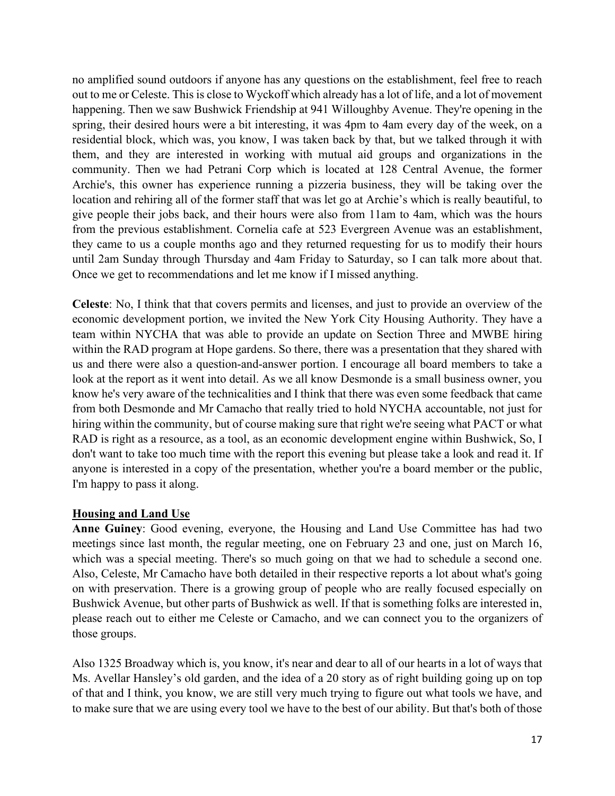no amplified sound outdoors if anyone has any questions on the establishment, feel free to reach out to me or Celeste. This is close to Wyckoff which already has a lot of life, and a lot of movement happening. Then we saw Bushwick Friendship at 941 Willoughby Avenue. They're opening in the spring, their desired hours were a bit interesting, it was 4pm to 4am every day of the week, on a residential block, which was, you know, I was taken back by that, but we talked through it with them, and they are interested in working with mutual aid groups and organizations in the community. Then we had Petrani Corp which is located at 128 Central Avenue, the former Archie's, this owner has experience running a pizzeria business, they will be taking over the location and rehiring all of the former staff that was let go at Archie's which is really beautiful, to give people their jobs back, and their hours were also from 11am to 4am, which was the hours from the previous establishment. Cornelia cafe at 523 Evergreen Avenue was an establishment, they came to us a couple months ago and they returned requesting for us to modify their hours until 2am Sunday through Thursday and 4am Friday to Saturday, so I can talk more about that. Once we get to recommendations and let me know if I missed anything.

**Celeste**: No, I think that that covers permits and licenses, and just to provide an overview of the economic development portion, we invited the New York City Housing Authority. They have a team within NYCHA that was able to provide an update on Section Three and MWBE hiring within the RAD program at Hope gardens. So there, there was a presentation that they shared with us and there were also a question-and-answer portion. I encourage all board members to take a look at the report as it went into detail. As we all know Desmonde is a small business owner, you know he's very aware of the technicalities and I think that there was even some feedback that came from both Desmonde and Mr Camacho that really tried to hold NYCHA accountable, not just for hiring within the community, but of course making sure that right we're seeing what PACT or what RAD is right as a resource, as a tool, as an economic development engine within Bushwick, So, I don't want to take too much time with the report this evening but please take a look and read it. If anyone is interested in a copy of the presentation, whether you're a board member or the public, I'm happy to pass it along.

### **Housing and Land Use**

**Anne Guiney**: Good evening, everyone, the Housing and Land Use Committee has had two meetings since last month, the regular meeting, one on February 23 and one, just on March 16, which was a special meeting. There's so much going on that we had to schedule a second one. Also, Celeste, Mr Camacho have both detailed in their respective reports a lot about what's going on with preservation. There is a growing group of people who are really focused especially on Bushwick Avenue, but other parts of Bushwick as well. If that is something folks are interested in, please reach out to either me Celeste or Camacho, and we can connect you to the organizers of those groups.

Also 1325 Broadway which is, you know, it's near and dear to all of our hearts in a lot of ways that Ms. Avellar Hansley's old garden, and the idea of a 20 story as of right building going up on top of that and I think, you know, we are still very much trying to figure out what tools we have, and to make sure that we are using every tool we have to the best of our ability. But that's both of those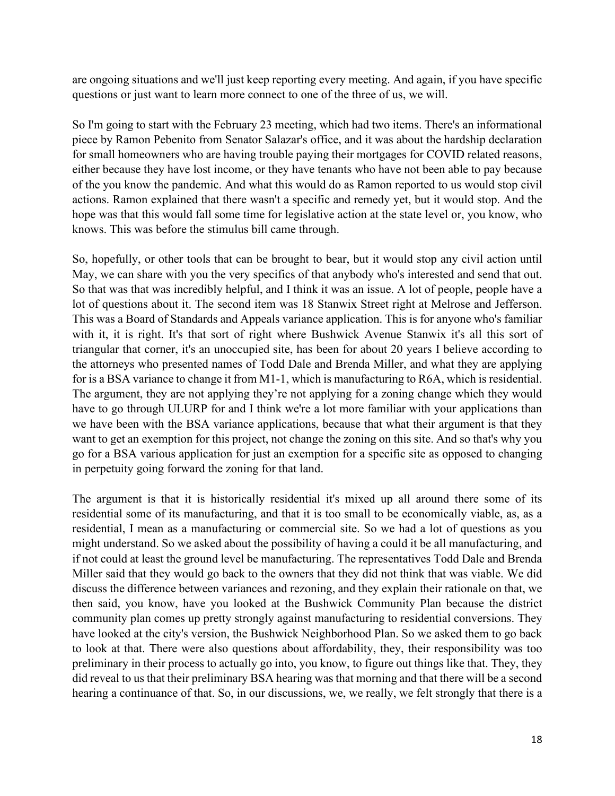are ongoing situations and we'll just keep reporting every meeting. And again, if you have specific questions or just want to learn more connect to one of the three of us, we will.

So I'm going to start with the February 23 meeting, which had two items. There's an informational piece by Ramon Pebenito from Senator Salazar's office, and it was about the hardship declaration for small homeowners who are having trouble paying their mortgages for COVID related reasons, either because they have lost income, or they have tenants who have not been able to pay because of the you know the pandemic. And what this would do as Ramon reported to us would stop civil actions. Ramon explained that there wasn't a specific and remedy yet, but it would stop. And the hope was that this would fall some time for legislative action at the state level or, you know, who knows. This was before the stimulus bill came through.

So, hopefully, or other tools that can be brought to bear, but it would stop any civil action until May, we can share with you the very specifics of that anybody who's interested and send that out. So that was that was incredibly helpful, and I think it was an issue. A lot of people, people have a lot of questions about it. The second item was 18 Stanwix Street right at Melrose and Jefferson. This was a Board of Standards and Appeals variance application. This is for anyone who's familiar with it, it is right. It's that sort of right where Bushwick Avenue Stanwix it's all this sort of triangular that corner, it's an unoccupied site, has been for about 20 years I believe according to the attorneys who presented names of Todd Dale and Brenda Miller, and what they are applying for is a BSA variance to change it from M1-1, which is manufacturing to R6A, which is residential. The argument, they are not applying they're not applying for a zoning change which they would have to go through ULURP for and I think we're a lot more familiar with your applications than we have been with the BSA variance applications, because that what their argument is that they want to get an exemption for this project, not change the zoning on this site. And so that's why you go for a BSA various application for just an exemption for a specific site as opposed to changing in perpetuity going forward the zoning for that land.

The argument is that it is historically residential it's mixed up all around there some of its residential some of its manufacturing, and that it is too small to be economically viable, as, as a residential, I mean as a manufacturing or commercial site. So we had a lot of questions as you might understand. So we asked about the possibility of having a could it be all manufacturing, and if not could at least the ground level be manufacturing. The representatives Todd Dale and Brenda Miller said that they would go back to the owners that they did not think that was viable. We did discuss the difference between variances and rezoning, and they explain their rationale on that, we then said, you know, have you looked at the Bushwick Community Plan because the district community plan comes up pretty strongly against manufacturing to residential conversions. They have looked at the city's version, the Bushwick Neighborhood Plan. So we asked them to go back to look at that. There were also questions about affordability, they, their responsibility was too preliminary in their process to actually go into, you know, to figure out things like that. They, they did reveal to us that their preliminary BSA hearing was that morning and that there will be a second hearing a continuance of that. So, in our discussions, we, we really, we felt strongly that there is a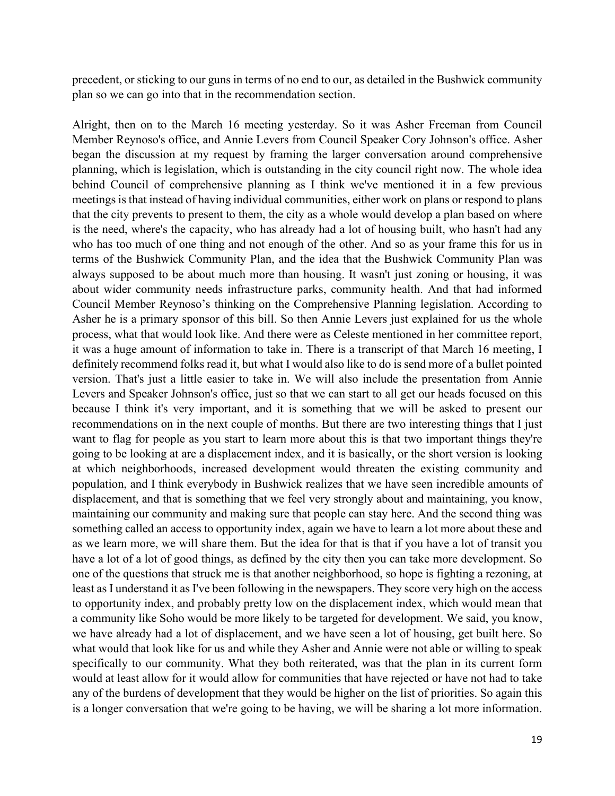precedent, or sticking to our guns in terms of no end to our, as detailed in the Bushwick community plan so we can go into that in the recommendation section.

Alright, then on to the March 16 meeting yesterday. So it was Asher Freeman from Council Member Reynoso's office, and Annie Levers from Council Speaker Cory Johnson's office. Asher began the discussion at my request by framing the larger conversation around comprehensive planning, which is legislation, which is outstanding in the city council right now. The whole idea behind Council of comprehensive planning as I think we've mentioned it in a few previous meetings is that instead of having individual communities, either work on plans or respond to plans that the city prevents to present to them, the city as a whole would develop a plan based on where is the need, where's the capacity, who has already had a lot of housing built, who hasn't had any who has too much of one thing and not enough of the other. And so as your frame this for us in terms of the Bushwick Community Plan, and the idea that the Bushwick Community Plan was always supposed to be about much more than housing. It wasn't just zoning or housing, it was about wider community needs infrastructure parks, community health. And that had informed Council Member Reynoso's thinking on the Comprehensive Planning legislation. According to Asher he is a primary sponsor of this bill. So then Annie Levers just explained for us the whole process, what that would look like. And there were as Celeste mentioned in her committee report, it was a huge amount of information to take in. There is a transcript of that March 16 meeting, I definitely recommend folks read it, but what I would also like to do is send more of a bullet pointed version. That's just a little easier to take in. We will also include the presentation from Annie Levers and Speaker Johnson's office, just so that we can start to all get our heads focused on this because I think it's very important, and it is something that we will be asked to present our recommendations on in the next couple of months. But there are two interesting things that I just want to flag for people as you start to learn more about this is that two important things they're going to be looking at are a displacement index, and it is basically, or the short version is looking at which neighborhoods, increased development would threaten the existing community and population, and I think everybody in Bushwick realizes that we have seen incredible amounts of displacement, and that is something that we feel very strongly about and maintaining, you know, maintaining our community and making sure that people can stay here. And the second thing was something called an access to opportunity index, again we have to learn a lot more about these and as we learn more, we will share them. But the idea for that is that if you have a lot of transit you have a lot of a lot of good things, as defined by the city then you can take more development. So one of the questions that struck me is that another neighborhood, so hope is fighting a rezoning, at least as I understand it as I've been following in the newspapers. They score very high on the access to opportunity index, and probably pretty low on the displacement index, which would mean that a community like Soho would be more likely to be targeted for development. We said, you know, we have already had a lot of displacement, and we have seen a lot of housing, get built here. So what would that look like for us and while they Asher and Annie were not able or willing to speak specifically to our community. What they both reiterated, was that the plan in its current form would at least allow for it would allow for communities that have rejected or have not had to take any of the burdens of development that they would be higher on the list of priorities. So again this is a longer conversation that we're going to be having, we will be sharing a lot more information.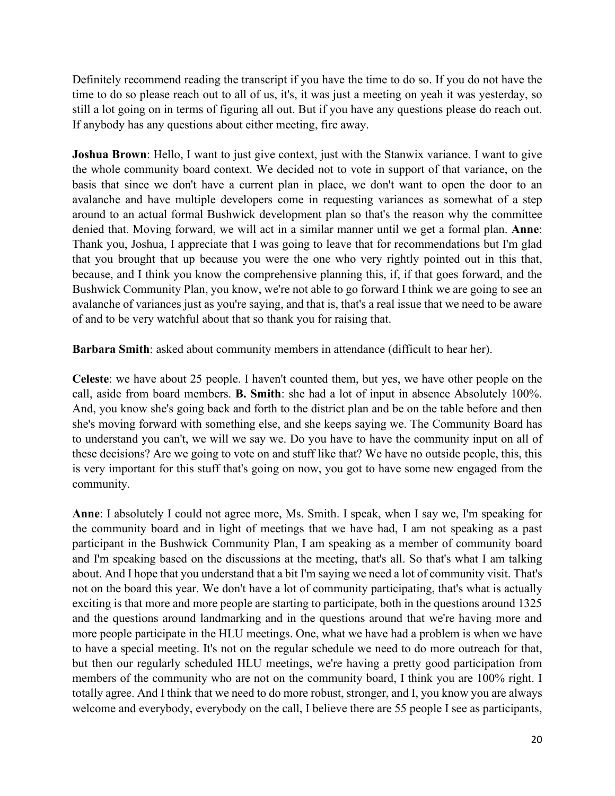Definitely recommend reading the transcript if you have the time to do so. If you do not have the time to do so please reach out to all of us, it's, it was just a meeting on yeah it was yesterday, so still a lot going on in terms of figuring all out. But if you have any questions please do reach out. If anybody has any questions about either meeting, fire away.

**Joshua Brown**: Hello, I want to just give context, just with the Stanwix variance. I want to give the whole community board context. We decided not to vote in support of that variance, on the basis that since we don't have a current plan in place, we don't want to open the door to an avalanche and have multiple developers come in requesting variances as somewhat of a step around to an actual formal Bushwick development plan so that's the reason why the committee denied that. Moving forward, we will act in a similar manner until we get a formal plan. **Anne**: Thank you, Joshua, I appreciate that I was going to leave that for recommendations but I'm glad that you brought that up because you were the one who very rightly pointed out in this that, because, and I think you know the comprehensive planning this, if, if that goes forward, and the Bushwick Community Plan, you know, we're not able to go forward I think we are going to see an avalanche of variances just as you're saying, and that is, that's a real issue that we need to be aware of and to be very watchful about that so thank you for raising that.

**Barbara Smith**: asked about community members in attendance (difficult to hear her).

**Celeste**: we have about 25 people. I haven't counted them, but yes, we have other people on the call, aside from board members. **B. Smith**: she had a lot of input in absence Absolutely 100%. And, you know she's going back and forth to the district plan and be on the table before and then she's moving forward with something else, and she keeps saying we. The Community Board has to understand you can't, we will we say we. Do you have to have the community input on all of these decisions? Are we going to vote on and stuff like that? We have no outside people, this, this is very important for this stuff that's going on now, you got to have some new engaged from the community.

**Anne**: I absolutely I could not agree more, Ms. Smith. I speak, when I say we, I'm speaking for the community board and in light of meetings that we have had, I am not speaking as a past participant in the Bushwick Community Plan, I am speaking as a member of community board and I'm speaking based on the discussions at the meeting, that's all. So that's what I am talking about. And I hope that you understand that a bit I'm saying we need a lot of community visit. That's not on the board this year. We don't have a lot of community participating, that's what is actually exciting is that more and more people are starting to participate, both in the questions around 1325 and the questions around landmarking and in the questions around that we're having more and more people participate in the HLU meetings. One, what we have had a problem is when we have to have a special meeting. It's not on the regular schedule we need to do more outreach for that, but then our regularly scheduled HLU meetings, we're having a pretty good participation from members of the community who are not on the community board, I think you are 100% right. I totally agree. And I think that we need to do more robust, stronger, and I, you know you are always welcome and everybody, everybody on the call, I believe there are 55 people I see as participants,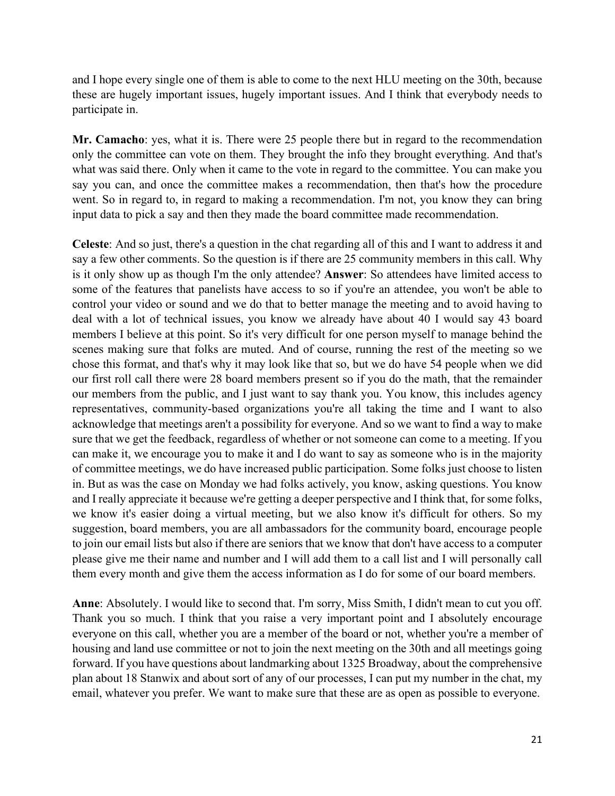and I hope every single one of them is able to come to the next HLU meeting on the 30th, because these are hugely important issues, hugely important issues. And I think that everybody needs to participate in.

**Mr. Camacho**: yes, what it is. There were 25 people there but in regard to the recommendation only the committee can vote on them. They brought the info they brought everything. And that's what was said there. Only when it came to the vote in regard to the committee. You can make you say you can, and once the committee makes a recommendation, then that's how the procedure went. So in regard to, in regard to making a recommendation. I'm not, you know they can bring input data to pick a say and then they made the board committee made recommendation.

**Celeste**: And so just, there's a question in the chat regarding all of this and I want to address it and say a few other comments. So the question is if there are 25 community members in this call. Why is it only show up as though I'm the only attendee? **Answer**: So attendees have limited access to some of the features that panelists have access to so if you're an attendee, you won't be able to control your video or sound and we do that to better manage the meeting and to avoid having to deal with a lot of technical issues, you know we already have about 40 I would say 43 board members I believe at this point. So it's very difficult for one person myself to manage behind the scenes making sure that folks are muted. And of course, running the rest of the meeting so we chose this format, and that's why it may look like that so, but we do have 54 people when we did our first roll call there were 28 board members present so if you do the math, that the remainder our members from the public, and I just want to say thank you. You know, this includes agency representatives, community-based organizations you're all taking the time and I want to also acknowledge that meetings aren't a possibility for everyone. And so we want to find a way to make sure that we get the feedback, regardless of whether or not someone can come to a meeting. If you can make it, we encourage you to make it and I do want to say as someone who is in the majority of committee meetings, we do have increased public participation. Some folks just choose to listen in. But as was the case on Monday we had folks actively, you know, asking questions. You know and I really appreciate it because we're getting a deeper perspective and I think that, for some folks, we know it's easier doing a virtual meeting, but we also know it's difficult for others. So my suggestion, board members, you are all ambassadors for the community board, encourage people to join our email lists but also if there are seniors that we know that don't have access to a computer please give me their name and number and I will add them to a call list and I will personally call them every month and give them the access information as I do for some of our board members.

**Anne**: Absolutely. I would like to second that. I'm sorry, Miss Smith, I didn't mean to cut you off. Thank you so much. I think that you raise a very important point and I absolutely encourage everyone on this call, whether you are a member of the board or not, whether you're a member of housing and land use committee or not to join the next meeting on the 30th and all meetings going forward. If you have questions about landmarking about 1325 Broadway, about the comprehensive plan about 18 Stanwix and about sort of any of our processes, I can put my number in the chat, my email, whatever you prefer. We want to make sure that these are as open as possible to everyone.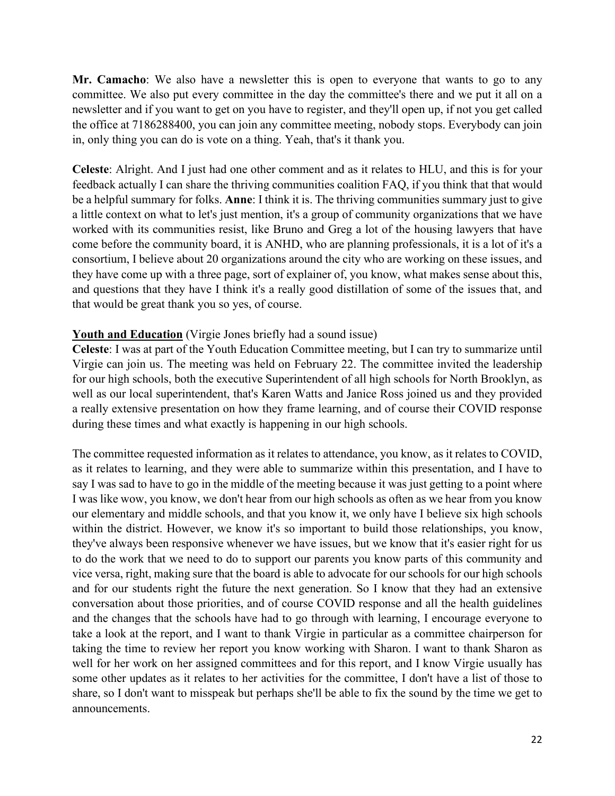**Mr. Camacho**: We also have a newsletter this is open to everyone that wants to go to any committee. We also put every committee in the day the committee's there and we put it all on a newsletter and if you want to get on you have to register, and they'll open up, if not you get called the office at 7186288400, you can join any committee meeting, nobody stops. Everybody can join in, only thing you can do is vote on a thing. Yeah, that's it thank you.

**Celeste**: Alright. And I just had one other comment and as it relates to HLU, and this is for your feedback actually I can share the thriving communities coalition FAQ, if you think that that would be a helpful summary for folks. **Anne**: I think it is. The thriving communities summary just to give a little context on what to let's just mention, it's a group of community organizations that we have worked with its communities resist, like Bruno and Greg a lot of the housing lawyers that have come before the community board, it is ANHD, who are planning professionals, it is a lot of it's a consortium, I believe about 20 organizations around the city who are working on these issues, and they have come up with a three page, sort of explainer of, you know, what makes sense about this, and questions that they have I think it's a really good distillation of some of the issues that, and that would be great thank you so yes, of course.

### **Youth and Education** (Virgie Jones briefly had a sound issue)

**Celeste**: I was at part of the Youth Education Committee meeting, but I can try to summarize until Virgie can join us. The meeting was held on February 22. The committee invited the leadership for our high schools, both the executive Superintendent of all high schools for North Brooklyn, as well as our local superintendent, that's Karen Watts and Janice Ross joined us and they provided a really extensive presentation on how they frame learning, and of course their COVID response during these times and what exactly is happening in our high schools.

The committee requested information as it relates to attendance, you know, as it relates to COVID, as it relates to learning, and they were able to summarize within this presentation, and I have to say I was sad to have to go in the middle of the meeting because it was just getting to a point where I was like wow, you know, we don't hear from our high schools as often as we hear from you know our elementary and middle schools, and that you know it, we only have I believe six high schools within the district. However, we know it's so important to build those relationships, you know, they've always been responsive whenever we have issues, but we know that it's easier right for us to do the work that we need to do to support our parents you know parts of this community and vice versa, right, making sure that the board is able to advocate for our schools for our high schools and for our students right the future the next generation. So I know that they had an extensive conversation about those priorities, and of course COVID response and all the health guidelines and the changes that the schools have had to go through with learning, I encourage everyone to take a look at the report, and I want to thank Virgie in particular as a committee chairperson for taking the time to review her report you know working with Sharon. I want to thank Sharon as well for her work on her assigned committees and for this report, and I know Virgie usually has some other updates as it relates to her activities for the committee, I don't have a list of those to share, so I don't want to misspeak but perhaps she'll be able to fix the sound by the time we get to announcements.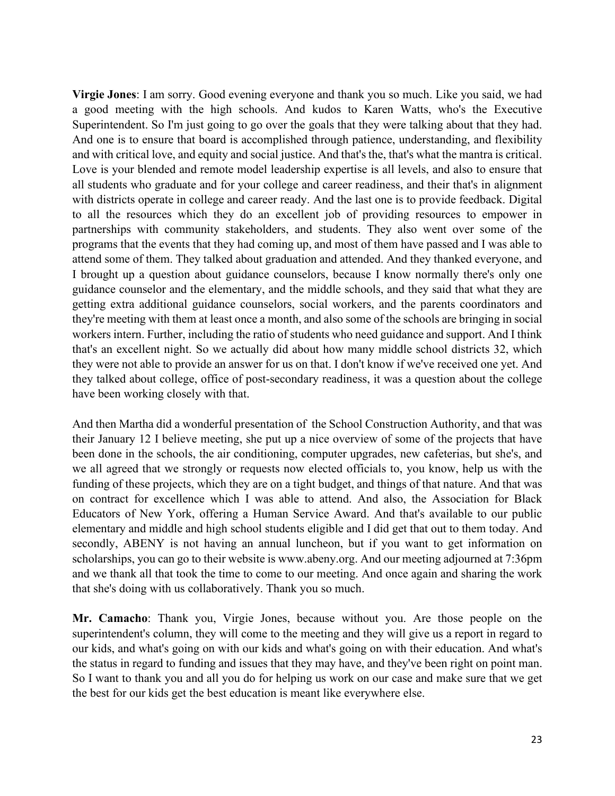**Virgie Jones**: I am sorry. Good evening everyone and thank you so much. Like you said, we had a good meeting with the high schools. And kudos to Karen Watts, who's the Executive Superintendent. So I'm just going to go over the goals that they were talking about that they had. And one is to ensure that board is accomplished through patience, understanding, and flexibility and with critical love, and equity and social justice. And that's the, that's what the mantra is critical. Love is your blended and remote model leadership expertise is all levels, and also to ensure that all students who graduate and for your college and career readiness, and their that's in alignment with districts operate in college and career ready. And the last one is to provide feedback. Digital to all the resources which they do an excellent job of providing resources to empower in partnerships with community stakeholders, and students. They also went over some of the programs that the events that they had coming up, and most of them have passed and I was able to attend some of them. They talked about graduation and attended. And they thanked everyone, and I brought up a question about guidance counselors, because I know normally there's only one guidance counselor and the elementary, and the middle schools, and they said that what they are getting extra additional guidance counselors, social workers, and the parents coordinators and they're meeting with them at least once a month, and also some of the schools are bringing in social workers intern. Further, including the ratio of students who need guidance and support. And I think that's an excellent night. So we actually did about how many middle school districts 32, which they were not able to provide an answer for us on that. I don't know if we've received one yet. And they talked about college, office of post-secondary readiness, it was a question about the college have been working closely with that.

And then Martha did a wonderful presentation of the School Construction Authority, and that was their January 12 I believe meeting, she put up a nice overview of some of the projects that have been done in the schools, the air conditioning, computer upgrades, new cafeterias, but she's, and we all agreed that we strongly or requests now elected officials to, you know, help us with the funding of these projects, which they are on a tight budget, and things of that nature. And that was on contract for excellence which I was able to attend. And also, the Association for Black Educators of New York, offering a Human Service Award. And that's available to our public elementary and middle and high school students eligible and I did get that out to them today. And secondly, ABENY is not having an annual luncheon, but if you want to get information on scholarships, you can go to their website is www.abeny.org. And our meeting adjourned at 7:36pm and we thank all that took the time to come to our meeting. And once again and sharing the work that she's doing with us collaboratively. Thank you so much.

**Mr. Camacho**: Thank you, Virgie Jones, because without you. Are those people on the superintendent's column, they will come to the meeting and they will give us a report in regard to our kids, and what's going on with our kids and what's going on with their education. And what's the status in regard to funding and issues that they may have, and they've been right on point man. So I want to thank you and all you do for helping us work on our case and make sure that we get the best for our kids get the best education is meant like everywhere else.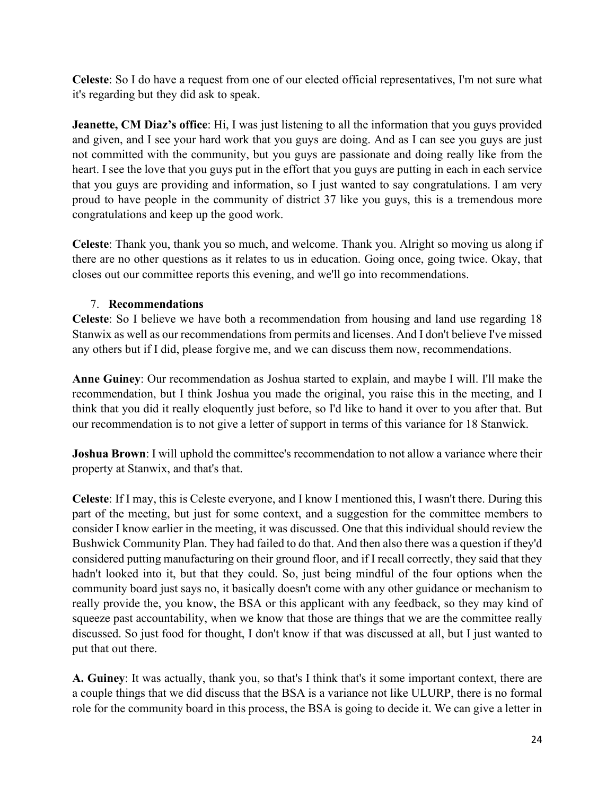**Celeste**: So I do have a request from one of our elected official representatives, I'm not sure what it's regarding but they did ask to speak.

**Jeanette, CM Diaz's office**: Hi, I was just listening to all the information that you guys provided and given, and I see your hard work that you guys are doing. And as I can see you guys are just not committed with the community, but you guys are passionate and doing really like from the heart. I see the love that you guys put in the effort that you guys are putting in each in each service that you guys are providing and information, so I just wanted to say congratulations. I am very proud to have people in the community of district 37 like you guys, this is a tremendous more congratulations and keep up the good work.

**Celeste**: Thank you, thank you so much, and welcome. Thank you. Alright so moving us along if there are no other questions as it relates to us in education. Going once, going twice. Okay, that closes out our committee reports this evening, and we'll go into recommendations.

# 7. **Recommendations**

**Celeste**: So I believe we have both a recommendation from housing and land use regarding 18 Stanwix as well as our recommendations from permits and licenses. And I don't believe I've missed any others but if I did, please forgive me, and we can discuss them now, recommendations.

**Anne Guiney**: Our recommendation as Joshua started to explain, and maybe I will. I'll make the recommendation, but I think Joshua you made the original, you raise this in the meeting, and I think that you did it really eloquently just before, so I'd like to hand it over to you after that. But our recommendation is to not give a letter of support in terms of this variance for 18 Stanwick.

**Joshua Brown**: I will uphold the committee's recommendation to not allow a variance where their property at Stanwix, and that's that.

**Celeste**: If I may, this is Celeste everyone, and I know I mentioned this, I wasn't there. During this part of the meeting, but just for some context, and a suggestion for the committee members to consider I know earlier in the meeting, it was discussed. One that this individual should review the Bushwick Community Plan. They had failed to do that. And then also there was a question if they'd considered putting manufacturing on their ground floor, and if I recall correctly, they said that they hadn't looked into it, but that they could. So, just being mindful of the four options when the community board just says no, it basically doesn't come with any other guidance or mechanism to really provide the, you know, the BSA or this applicant with any feedback, so they may kind of squeeze past accountability, when we know that those are things that we are the committee really discussed. So just food for thought, I don't know if that was discussed at all, but I just wanted to put that out there.

**A. Guiney**: It was actually, thank you, so that's I think that's it some important context, there are a couple things that we did discuss that the BSA is a variance not like ULURP, there is no formal role for the community board in this process, the BSA is going to decide it. We can give a letter in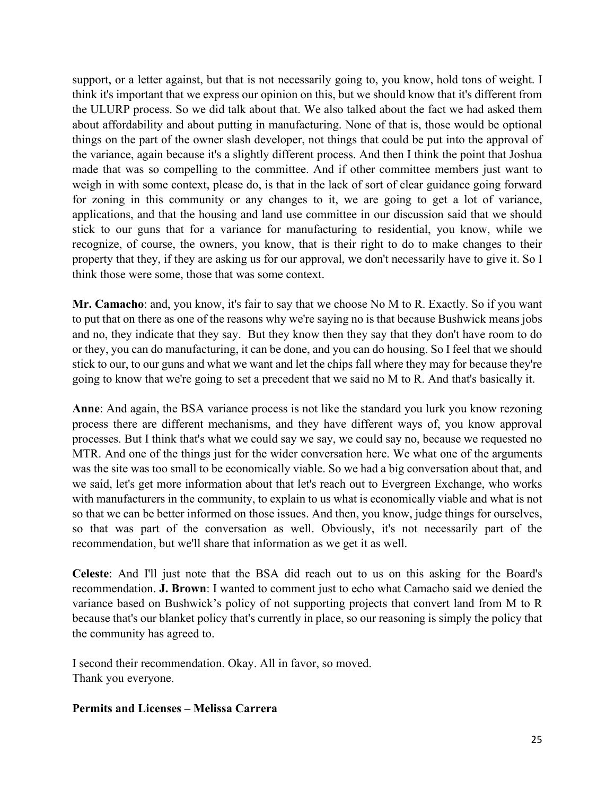support, or a letter against, but that is not necessarily going to, you know, hold tons of weight. I think it's important that we express our opinion on this, but we should know that it's different from the ULURP process. So we did talk about that. We also talked about the fact we had asked them about affordability and about putting in manufacturing. None of that is, those would be optional things on the part of the owner slash developer, not things that could be put into the approval of the variance, again because it's a slightly different process. And then I think the point that Joshua made that was so compelling to the committee. And if other committee members just want to weigh in with some context, please do, is that in the lack of sort of clear guidance going forward for zoning in this community or any changes to it, we are going to get a lot of variance, applications, and that the housing and land use committee in our discussion said that we should stick to our guns that for a variance for manufacturing to residential, you know, while we recognize, of course, the owners, you know, that is their right to do to make changes to their property that they, if they are asking us for our approval, we don't necessarily have to give it. So I think those were some, those that was some context.

**Mr. Camacho**: and, you know, it's fair to say that we choose No M to R. Exactly. So if you want to put that on there as one of the reasons why we're saying no is that because Bushwick means jobs and no, they indicate that they say. But they know then they say that they don't have room to do or they, you can do manufacturing, it can be done, and you can do housing. So I feel that we should stick to our, to our guns and what we want and let the chips fall where they may for because they're going to know that we're going to set a precedent that we said no M to R. And that's basically it.

**Anne**: And again, the BSA variance process is not like the standard you lurk you know rezoning process there are different mechanisms, and they have different ways of, you know approval processes. But I think that's what we could say we say, we could say no, because we requested no MTR. And one of the things just for the wider conversation here. We what one of the arguments was the site was too small to be economically viable. So we had a big conversation about that, and we said, let's get more information about that let's reach out to Evergreen Exchange, who works with manufacturers in the community, to explain to us what is economically viable and what is not so that we can be better informed on those issues. And then, you know, judge things for ourselves, so that was part of the conversation as well. Obviously, it's not necessarily part of the recommendation, but we'll share that information as we get it as well.

**Celeste**: And I'll just note that the BSA did reach out to us on this asking for the Board's recommendation. **J. Brown**: I wanted to comment just to echo what Camacho said we denied the variance based on Bushwick's policy of not supporting projects that convert land from M to R because that's our blanket policy that's currently in place, so our reasoning is simply the policy that the community has agreed to.

I second their recommendation. Okay. All in favor, so moved. Thank you everyone.

### **Permits and Licenses – Melissa Carrera**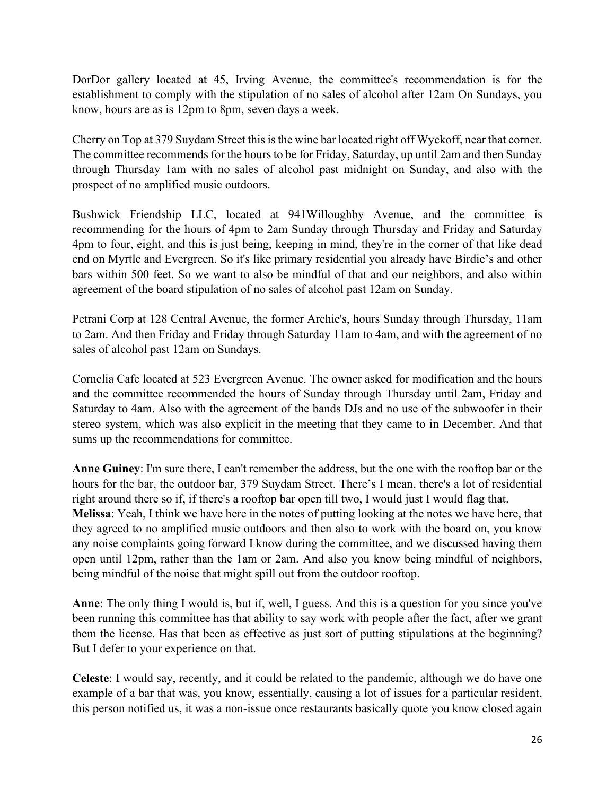DorDor gallery located at 45, Irving Avenue, the committee's recommendation is for the establishment to comply with the stipulation of no sales of alcohol after 12am On Sundays, you know, hours are as is 12pm to 8pm, seven days a week.

Cherry on Top at 379 Suydam Street this is the wine bar located right off Wyckoff, near that corner. The committee recommends for the hours to be for Friday, Saturday, up until 2am and then Sunday through Thursday 1am with no sales of alcohol past midnight on Sunday, and also with the prospect of no amplified music outdoors.

Bushwick Friendship LLC, located at 941Willoughby Avenue, and the committee is recommending for the hours of 4pm to 2am Sunday through Thursday and Friday and Saturday 4pm to four, eight, and this is just being, keeping in mind, they're in the corner of that like dead end on Myrtle and Evergreen. So it's like primary residential you already have Birdie's and other bars within 500 feet. So we want to also be mindful of that and our neighbors, and also within agreement of the board stipulation of no sales of alcohol past 12am on Sunday.

Petrani Corp at 128 Central Avenue, the former Archie's, hours Sunday through Thursday, 11am to 2am. And then Friday and Friday through Saturday 11am to 4am, and with the agreement of no sales of alcohol past 12am on Sundays.

Cornelia Cafe located at 523 Evergreen Avenue. The owner asked for modification and the hours and the committee recommended the hours of Sunday through Thursday until 2am, Friday and Saturday to 4am. Also with the agreement of the bands DJs and no use of the subwoofer in their stereo system, which was also explicit in the meeting that they came to in December. And that sums up the recommendations for committee.

**Anne Guiney**: I'm sure there, I can't remember the address, but the one with the rooftop bar or the hours for the bar, the outdoor bar, 379 Suydam Street. There's I mean, there's a lot of residential right around there so if, if there's a rooftop bar open till two, I would just I would flag that. **Melissa**: Yeah, I think we have here in the notes of putting looking at the notes we have here, that they agreed to no amplified music outdoors and then also to work with the board on, you know any noise complaints going forward I know during the committee, and we discussed having them open until 12pm, rather than the 1am or 2am. And also you know being mindful of neighbors, being mindful of the noise that might spill out from the outdoor rooftop.

**Anne**: The only thing I would is, but if, well, I guess. And this is a question for you since you've been running this committee has that ability to say work with people after the fact, after we grant them the license. Has that been as effective as just sort of putting stipulations at the beginning? But I defer to your experience on that.

**Celeste**: I would say, recently, and it could be related to the pandemic, although we do have one example of a bar that was, you know, essentially, causing a lot of issues for a particular resident, this person notified us, it was a non-issue once restaurants basically quote you know closed again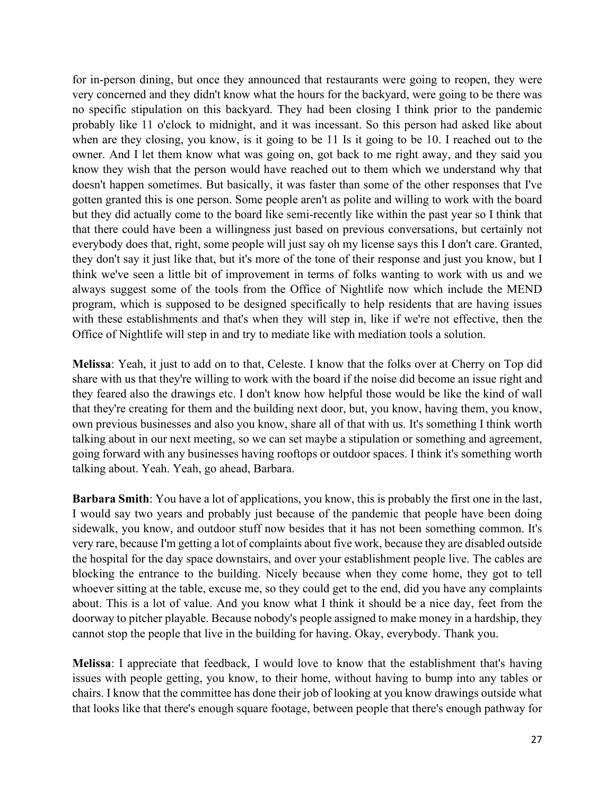for in-person dining, but once they announced that restaurants were going to reopen, they were very concerned and they didn't know what the hours for the backyard, were going to be there was no specific stipulation on this backyard. They had been closing I think prior to the pandemic probably like 11 o'clock to midnight, and it was incessant. So this person had asked like about when are they closing, you know, is it going to be 11 Is it going to be 10. I reached out to the owner. And I let them know what was going on, got back to me right away, and they said you know they wish that the person would have reached out to them which we understand why that doesn't happen sometimes. But basically, it was faster than some of the other responses that I've gotten granted this is one person. Some people aren't as polite and willing to work with the board but they did actually come to the board like semi-recently like within the past year so I think that that there could have been a willingness just based on previous conversations, but certainly not everybody does that, right, some people will just say oh my license says this I don't care. Granted, they don't say it just like that, but it's more of the tone of their response and just you know, but I think we've seen a little bit of improvement in terms of folks wanting to work with us and we always suggest some of the tools from the Office of Nightlife now which include the MEND program, which is supposed to be designed specifically to help residents that are having issues with these establishments and that's when they will step in, like if we're not effective, then the Office of Nightlife will step in and try to mediate like with mediation tools a solution.

**Melissa**: Yeah, it just to add on to that, Celeste. I know that the folks over at Cherry on Top did share with us that they're willing to work with the board if the noise did become an issue right and they feared also the drawings etc. I don't know how helpful those would be like the kind of wall that they're creating for them and the building next door, but, you know, having them, you know, own previous businesses and also you know, share all of that with us. It's something I think worth talking about in our next meeting, so we can set maybe a stipulation or something and agreement, going forward with any businesses having rooftops or outdoor spaces. I think it's something worth talking about. Yeah. Yeah, go ahead, Barbara.

**Barbara Smith**: You have a lot of applications, you know, this is probably the first one in the last, I would say two years and probably just because of the pandemic that people have been doing sidewalk, you know, and outdoor stuff now besides that it has not been something common. It's very rare, because I'm getting a lot of complaints about five work, because they are disabled outside the hospital for the day space downstairs, and over your establishment people live. The cables are blocking the entrance to the building. Nicely because when they come home, they got to tell whoever sitting at the table, excuse me, so they could get to the end, did you have any complaints about. This is a lot of value. And you know what I think it should be a nice day, feet from the doorway to pitcher playable. Because nobody's people assigned to make money in a hardship, they cannot stop the people that live in the building for having. Okay, everybody. Thank you.

**Melissa**: I appreciate that feedback, I would love to know that the establishment that's having issues with people getting, you know, to their home, without having to bump into any tables or chairs. I know that the committee has done their job of looking at you know drawings outside what that looks like that there's enough square footage, between people that there's enough pathway for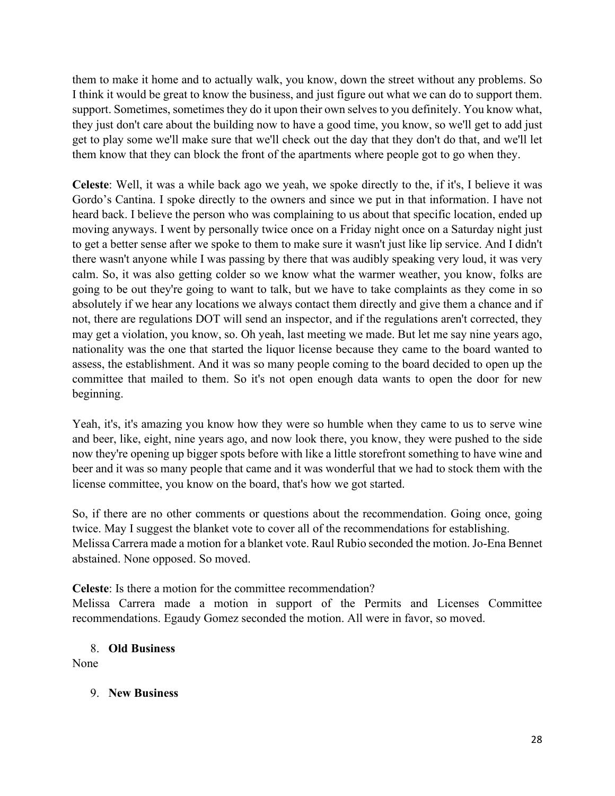them to make it home and to actually walk, you know, down the street without any problems. So I think it would be great to know the business, and just figure out what we can do to support them. support. Sometimes, sometimes they do it upon their own selves to you definitely. You know what, they just don't care about the building now to have a good time, you know, so we'll get to add just get to play some we'll make sure that we'll check out the day that they don't do that, and we'll let them know that they can block the front of the apartments where people got to go when they.

**Celeste**: Well, it was a while back ago we yeah, we spoke directly to the, if it's, I believe it was Gordo's Cantina. I spoke directly to the owners and since we put in that information. I have not heard back. I believe the person who was complaining to us about that specific location, ended up moving anyways. I went by personally twice once on a Friday night once on a Saturday night just to get a better sense after we spoke to them to make sure it wasn't just like lip service. And I didn't there wasn't anyone while I was passing by there that was audibly speaking very loud, it was very calm. So, it was also getting colder so we know what the warmer weather, you know, folks are going to be out they're going to want to talk, but we have to take complaints as they come in so absolutely if we hear any locations we always contact them directly and give them a chance and if not, there are regulations DOT will send an inspector, and if the regulations aren't corrected, they may get a violation, you know, so. Oh yeah, last meeting we made. But let me say nine years ago, nationality was the one that started the liquor license because they came to the board wanted to assess, the establishment. And it was so many people coming to the board decided to open up the committee that mailed to them. So it's not open enough data wants to open the door for new beginning.

Yeah, it's, it's amazing you know how they were so humble when they came to us to serve wine and beer, like, eight, nine years ago, and now look there, you know, they were pushed to the side now they're opening up bigger spots before with like a little storefront something to have wine and beer and it was so many people that came and it was wonderful that we had to stock them with the license committee, you know on the board, that's how we got started.

So, if there are no other comments or questions about the recommendation. Going once, going twice. May I suggest the blanket vote to cover all of the recommendations for establishing. Melissa Carrera made a motion for a blanket vote. Raul Rubio seconded the motion. Jo-Ena Bennet abstained. None opposed. So moved.

**Celeste**: Is there a motion for the committee recommendation?

Melissa Carrera made a motion in support of the Permits and Licenses Committee recommendations. Egaudy Gomez seconded the motion. All were in favor, so moved.

8. **Old Business**

None

# 9. **New Business**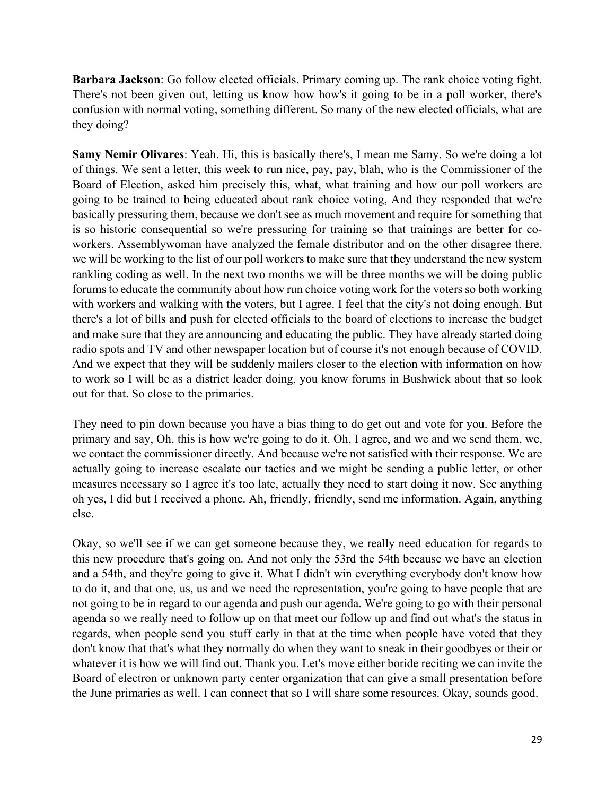**Barbara Jackson**: Go follow elected officials. Primary coming up. The rank choice voting fight. There's not been given out, letting us know how how's it going to be in a poll worker, there's confusion with normal voting, something different. So many of the new elected officials, what are they doing?

**Samy Nemir Olivares**: Yeah. Hi, this is basically there's, I mean me Samy. So we're doing a lot of things. We sent a letter, this week to run nice, pay, pay, blah, who is the Commissioner of the Board of Election, asked him precisely this, what, what training and how our poll workers are going to be trained to being educated about rank choice voting, And they responded that we're basically pressuring them, because we don't see as much movement and require for something that is so historic consequential so we're pressuring for training so that trainings are better for coworkers. Assemblywoman have analyzed the female distributor and on the other disagree there, we will be working to the list of our poll workers to make sure that they understand the new system rankling coding as well. In the next two months we will be three months we will be doing public forums to educate the community about how run choice voting work for the voters so both working with workers and walking with the voters, but I agree. I feel that the city's not doing enough. But there's a lot of bills and push for elected officials to the board of elections to increase the budget and make sure that they are announcing and educating the public. They have already started doing radio spots and TV and other newspaper location but of course it's not enough because of COVID. And we expect that they will be suddenly mailers closer to the election with information on how to work so I will be as a district leader doing, you know forums in Bushwick about that so look out for that. So close to the primaries.

They need to pin down because you have a bias thing to do get out and vote for you. Before the primary and say, Oh, this is how we're going to do it. Oh, I agree, and we and we send them, we, we contact the commissioner directly. And because we're not satisfied with their response. We are actually going to increase escalate our tactics and we might be sending a public letter, or other measures necessary so I agree it's too late, actually they need to start doing it now. See anything oh yes, I did but I received a phone. Ah, friendly, friendly, send me information. Again, anything else.

Okay, so we'll see if we can get someone because they, we really need education for regards to this new procedure that's going on. And not only the 53rd the 54th because we have an election and a 54th, and they're going to give it. What I didn't win everything everybody don't know how to do it, and that one, us, us and we need the representation, you're going to have people that are not going to be in regard to our agenda and push our agenda. We're going to go with their personal agenda so we really need to follow up on that meet our follow up and find out what's the status in regards, when people send you stuff early in that at the time when people have voted that they don't know that that's what they normally do when they want to sneak in their goodbyes or their or whatever it is how we will find out. Thank you. Let's move either boride reciting we can invite the Board of electron or unknown party center organization that can give a small presentation before the June primaries as well. I can connect that so I will share some resources. Okay, sounds good.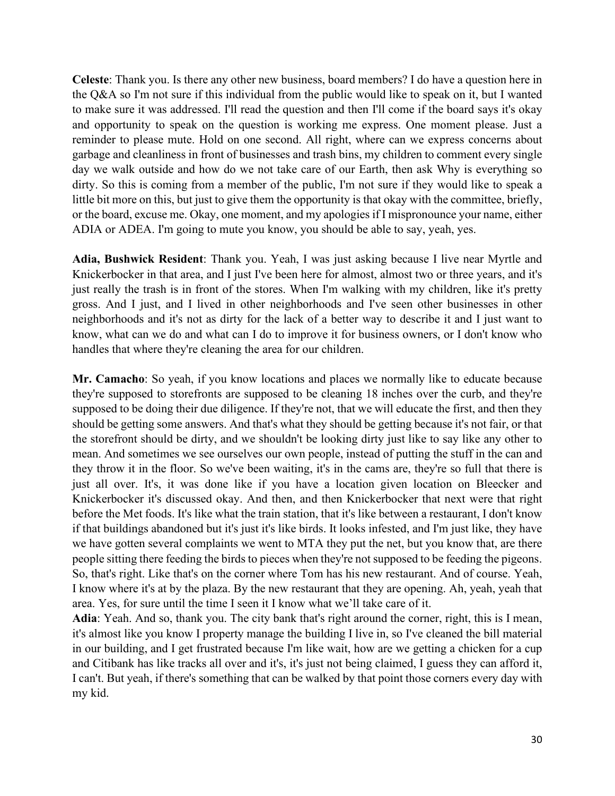**Celeste**: Thank you. Is there any other new business, board members? I do have a question here in the Q&A so I'm not sure if this individual from the public would like to speak on it, but I wanted to make sure it was addressed. I'll read the question and then I'll come if the board says it's okay and opportunity to speak on the question is working me express. One moment please. Just a reminder to please mute. Hold on one second. All right, where can we express concerns about garbage and cleanliness in front of businesses and trash bins, my children to comment every single day we walk outside and how do we not take care of our Earth, then ask Why is everything so dirty. So this is coming from a member of the public, I'm not sure if they would like to speak a little bit more on this, but just to give them the opportunity is that okay with the committee, briefly, or the board, excuse me. Okay, one moment, and my apologies if I mispronounce your name, either ADIA or ADEA. I'm going to mute you know, you should be able to say, yeah, yes.

**Adia, Bushwick Resident**: Thank you. Yeah, I was just asking because I live near Myrtle and Knickerbocker in that area, and I just I've been here for almost, almost two or three years, and it's just really the trash is in front of the stores. When I'm walking with my children, like it's pretty gross. And I just, and I lived in other neighborhoods and I've seen other businesses in other neighborhoods and it's not as dirty for the lack of a better way to describe it and I just want to know, what can we do and what can I do to improve it for business owners, or I don't know who handles that where they're cleaning the area for our children.

**Mr. Camacho**: So yeah, if you know locations and places we normally like to educate because they're supposed to storefronts are supposed to be cleaning 18 inches over the curb, and they're supposed to be doing their due diligence. If they're not, that we will educate the first, and then they should be getting some answers. And that's what they should be getting because it's not fair, or that the storefront should be dirty, and we shouldn't be looking dirty just like to say like any other to mean. And sometimes we see ourselves our own people, instead of putting the stuff in the can and they throw it in the floor. So we've been waiting, it's in the cams are, they're so full that there is just all over. It's, it was done like if you have a location given location on Bleecker and Knickerbocker it's discussed okay. And then, and then Knickerbocker that next were that right before the Met foods. It's like what the train station, that it's like between a restaurant, I don't know if that buildings abandoned but it's just it's like birds. It looks infested, and I'm just like, they have we have gotten several complaints we went to MTA they put the net, but you know that, are there people sitting there feeding the birds to pieces when they're not supposed to be feeding the pigeons. So, that's right. Like that's on the corner where Tom has his new restaurant. And of course. Yeah, I know where it's at by the plaza. By the new restaurant that they are opening. Ah, yeah, yeah that area. Yes, for sure until the time I seen it I know what we'll take care of it.

**Adia**: Yeah. And so, thank you. The city bank that's right around the corner, right, this is I mean, it's almost like you know I property manage the building I live in, so I've cleaned the bill material in our building, and I get frustrated because I'm like wait, how are we getting a chicken for a cup and Citibank has like tracks all over and it's, it's just not being claimed, I guess they can afford it, I can't. But yeah, if there's something that can be walked by that point those corners every day with my kid.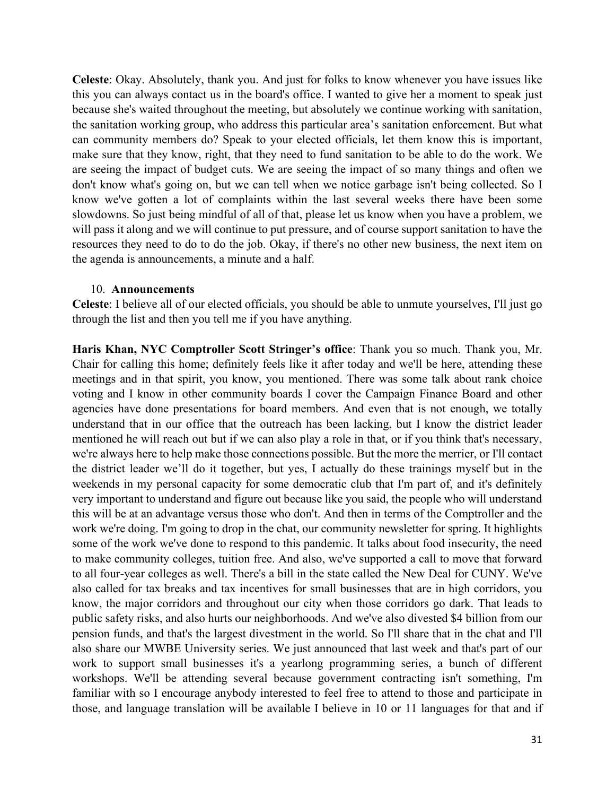**Celeste**: Okay. Absolutely, thank you. And just for folks to know whenever you have issues like this you can always contact us in the board's office. I wanted to give her a moment to speak just because she's waited throughout the meeting, but absolutely we continue working with sanitation, the sanitation working group, who address this particular area's sanitation enforcement. But what can community members do? Speak to your elected officials, let them know this is important, make sure that they know, right, that they need to fund sanitation to be able to do the work. We are seeing the impact of budget cuts. We are seeing the impact of so many things and often we don't know what's going on, but we can tell when we notice garbage isn't being collected. So I know we've gotten a lot of complaints within the last several weeks there have been some slowdowns. So just being mindful of all of that, please let us know when you have a problem, we will pass it along and we will continue to put pressure, and of course support sanitation to have the resources they need to do to do the job. Okay, if there's no other new business, the next item on the agenda is announcements, a minute and a half.

#### 10. **Announcements**

**Celeste**: I believe all of our elected officials, you should be able to unmute yourselves, I'll just go through the list and then you tell me if you have anything.

**Haris Khan, NYC Comptroller Scott Stringer's office**: Thank you so much. Thank you, Mr. Chair for calling this home; definitely feels like it after today and we'll be here, attending these meetings and in that spirit, you know, you mentioned. There was some talk about rank choice voting and I know in other community boards I cover the Campaign Finance Board and other agencies have done presentations for board members. And even that is not enough, we totally understand that in our office that the outreach has been lacking, but I know the district leader mentioned he will reach out but if we can also play a role in that, or if you think that's necessary, we're always here to help make those connections possible. But the more the merrier, or I'll contact the district leader we'll do it together, but yes, I actually do these trainings myself but in the weekends in my personal capacity for some democratic club that I'm part of, and it's definitely very important to understand and figure out because like you said, the people who will understand this will be at an advantage versus those who don't. And then in terms of the Comptroller and the work we're doing. I'm going to drop in the chat, our community newsletter for spring. It highlights some of the work we've done to respond to this pandemic. It talks about food insecurity, the need to make community colleges, tuition free. And also, we've supported a call to move that forward to all four-year colleges as well. There's a bill in the state called the New Deal for CUNY. We've also called for tax breaks and tax incentives for small businesses that are in high corridors, you know, the major corridors and throughout our city when those corridors go dark. That leads to public safety risks, and also hurts our neighborhoods. And we've also divested \$4 billion from our pension funds, and that's the largest divestment in the world. So I'll share that in the chat and I'll also share our MWBE University series. We just announced that last week and that's part of our work to support small businesses it's a yearlong programming series, a bunch of different workshops. We'll be attending several because government contracting isn't something, I'm familiar with so I encourage anybody interested to feel free to attend to those and participate in those, and language translation will be available I believe in 10 or 11 languages for that and if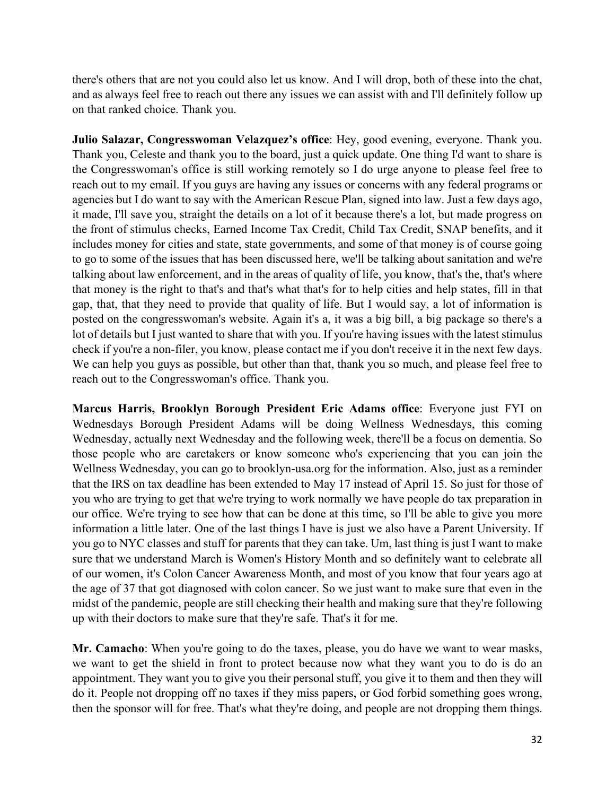there's others that are not you could also let us know. And I will drop, both of these into the chat, and as always feel free to reach out there any issues we can assist with and I'll definitely follow up on that ranked choice. Thank you.

**Julio Salazar, Congresswoman Velazquez's office**: Hey, good evening, everyone. Thank you. Thank you, Celeste and thank you to the board, just a quick update. One thing I'd want to share is the Congresswoman's office is still working remotely so I do urge anyone to please feel free to reach out to my email. If you guys are having any issues or concerns with any federal programs or agencies but I do want to say with the American Rescue Plan, signed into law. Just a few days ago, it made, I'll save you, straight the details on a lot of it because there's a lot, but made progress on the front of stimulus checks, Earned Income Tax Credit, Child Tax Credit, SNAP benefits, and it includes money for cities and state, state governments, and some of that money is of course going to go to some of the issues that has been discussed here, we'll be talking about sanitation and we're talking about law enforcement, and in the areas of quality of life, you know, that's the, that's where that money is the right to that's and that's what that's for to help cities and help states, fill in that gap, that, that they need to provide that quality of life. But I would say, a lot of information is posted on the congresswoman's website. Again it's a, it was a big bill, a big package so there's a lot of details but I just wanted to share that with you. If you're having issues with the latest stimulus check if you're a non-filer, you know, please contact me if you don't receive it in the next few days. We can help you guys as possible, but other than that, thank you so much, and please feel free to reach out to the Congresswoman's office. Thank you.

**Marcus Harris, Brooklyn Borough President Eric Adams office**: Everyone just FYI on Wednesdays Borough President Adams will be doing Wellness Wednesdays, this coming Wednesday, actually next Wednesday and the following week, there'll be a focus on dementia. So those people who are caretakers or know someone who's experiencing that you can join the Wellness Wednesday, you can go to brooklyn-usa.org for the information. Also, just as a reminder that the IRS on tax deadline has been extended to May 17 instead of April 15. So just for those of you who are trying to get that we're trying to work normally we have people do tax preparation in our office. We're trying to see how that can be done at this time, so I'll be able to give you more information a little later. One of the last things I have is just we also have a Parent University. If you go to NYC classes and stuff for parents that they can take. Um, last thing is just I want to make sure that we understand March is Women's History Month and so definitely want to celebrate all of our women, it's Colon Cancer Awareness Month, and most of you know that four years ago at the age of 37 that got diagnosed with colon cancer. So we just want to make sure that even in the midst of the pandemic, people are still checking their health and making sure that they're following up with their doctors to make sure that they're safe. That's it for me.

Mr. Camacho: When you're going to do the taxes, please, you do have we want to wear masks, we want to get the shield in front to protect because now what they want you to do is do an appointment. They want you to give you their personal stuff, you give it to them and then they will do it. People not dropping off no taxes if they miss papers, or God forbid something goes wrong, then the sponsor will for free. That's what they're doing, and people are not dropping them things.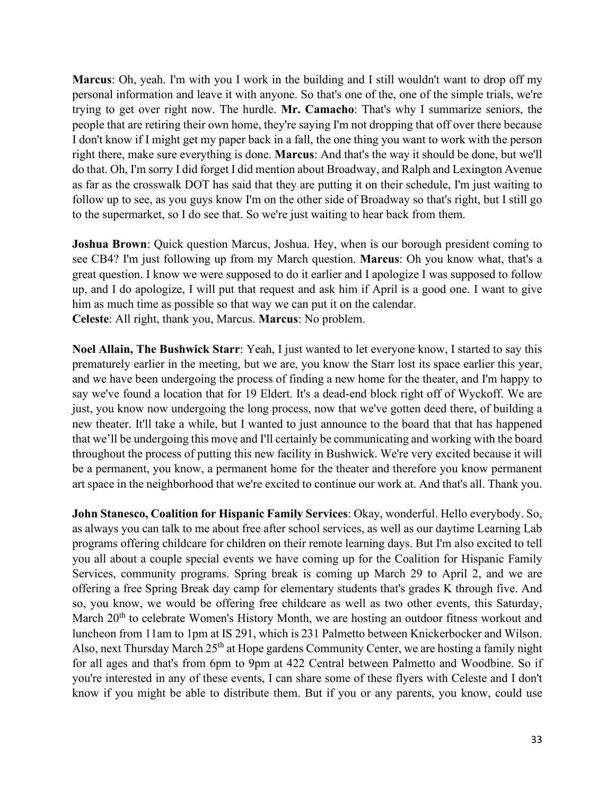**Marcus**: Oh, yeah. I'm with you I work in the building and I still wouldn't want to drop off my personal information and leave it with anyone. So that's one of the, one of the simple trials, we're trying to get over right now. The hurdle. **Mr. Camacho**: That's why I summarize seniors, the people that are retiring their own home, they're saying I'm not dropping that off over there because I don't know if I might get my paper back in a fall, the one thing you want to work with the person right there, make sure everything is done. **Marcus**: And that's the way it should be done, but we'll do that. Oh, I'm sorry I did forget I did mention about Broadway, and Ralph and Lexington Avenue as far as the crosswalk DOT has said that they are putting it on their schedule, I'm just waiting to follow up to see, as you guys know I'm on the other side of Broadway so that's right, but I still go to the supermarket, so I do see that. So we're just waiting to hear back from them.

**Joshua Brown**: Quick question Marcus, Joshua. Hey, when is our borough president coming to see CB4? I'm just following up from my March question. **Marcus**: Oh you know what, that's a great question. I know we were supposed to do it earlier and I apologize I was supposed to follow up, and I do apologize, I will put that request and ask him if April is a good one. I want to give him as much time as possible so that way we can put it on the calendar. **Celeste**: All right, thank you, Marcus. **Marcus**: No problem.

**Noel Allain, The Bushwick Starr**: Yeah, I just wanted to let everyone know, I started to say this prematurely earlier in the meeting, but we are, you know the Starr lost its space earlier this year, and we have been undergoing the process of finding a new home for the theater, and I'm happy to say we've found a location that for 19 Eldert. It's a dead-end block right off of Wyckoff. We are just, you know now undergoing the long process, now that we've gotten deed there, of building a new theater. It'll take a while, but I wanted to just announce to the board that that has happened that we'll be undergoing this move and I'll certainly be communicating and working with the board throughout the process of putting this new facility in Bushwick. We're very excited because it will be a permanent, you know, a permanent home for the theater and therefore you know permanent art space in the neighborhood that we're excited to continue our work at. And that's all. Thank you.

**John Stanesco, Coalition for Hispanic Family Services**: Okay, wonderful. Hello everybody. So, as always you can talk to me about free after school services, as well as our daytime Learning Lab programs offering childcare for children on their remote learning days. But I'm also excited to tell you all about a couple special events we have coming up for the Coalition for Hispanic Family Services, community programs. Spring break is coming up March 29 to April 2, and we are offering a free Spring Break day camp for elementary students that's grades K through five. And so, you know, we would be offering free childcare as well as two other events, this Saturday, March 20<sup>th</sup> to celebrate Women's History Month, we are hosting an outdoor fitness workout and luncheon from 11am to 1pm at IS 291, which is 231 Palmetto between Knickerbocker and Wilson. Also, next Thursday March 25<sup>th</sup> at Hope gardens Community Center, we are hosting a family night for all ages and that's from 6pm to 9pm at 422 Central between Palmetto and Woodbine. So if you're interested in any of these events, I can share some of these flyers with Celeste and I don't know if you might be able to distribute them. But if you or any parents, you know, could use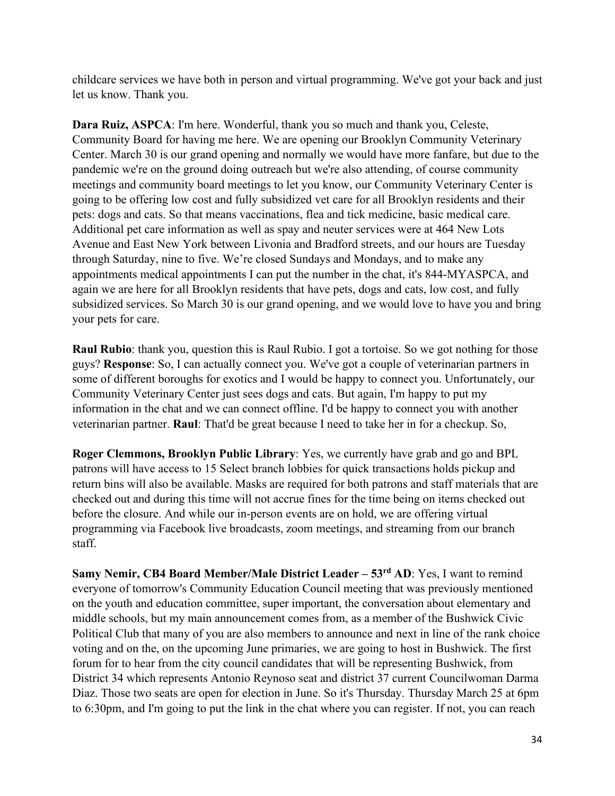childcare services we have both in person and virtual programming. We've got your back and just let us know. Thank you.

**Dara Ruiz, ASPCA**: I'm here. Wonderful, thank you so much and thank you, Celeste, Community Board for having me here. We are opening our Brooklyn Community Veterinary Center. March 30 is our grand opening and normally we would have more fanfare, but due to the pandemic we're on the ground doing outreach but we're also attending, of course community meetings and community board meetings to let you know, our Community Veterinary Center is going to be offering low cost and fully subsidized vet care for all Brooklyn residents and their pets: dogs and cats. So that means vaccinations, flea and tick medicine, basic medical care. Additional pet care information as well as spay and neuter services were at 464 New Lots Avenue and East New York between Livonia and Bradford streets, and our hours are Tuesday through Saturday, nine to five. We're closed Sundays and Mondays, and to make any appointments medical appointments I can put the number in the chat, it's 844-MYASPCA, and again we are here for all Brooklyn residents that have pets, dogs and cats, low cost, and fully subsidized services. So March 30 is our grand opening, and we would love to have you and bring your pets for care.

**Raul Rubio**: thank you, question this is Raul Rubio. I got a tortoise. So we got nothing for those guys? **Response**: So, I can actually connect you. We've got a couple of veterinarian partners in some of different boroughs for exotics and I would be happy to connect you. Unfortunately, our Community Veterinary Center just sees dogs and cats. But again, I'm happy to put my information in the chat and we can connect offline. I'd be happy to connect you with another veterinarian partner. **Raul**: That'd be great because I need to take her in for a checkup. So,

**Roger Clemmons, Brooklyn Public Library**: Yes, we currently have grab and go and BPL patrons will have access to 15 Select branch lobbies for quick transactions holds pickup and return bins will also be available. Masks are required for both patrons and staff materials that are checked out and during this time will not accrue fines for the time being on items checked out before the closure. And while our in-person events are on hold, we are offering virtual programming via Facebook live broadcasts, zoom meetings, and streaming from our branch staff.

**Samy Nemir, CB4 Board Member/Male District Leader – 53rd AD**: Yes, I want to remind everyone of tomorrow's Community Education Council meeting that was previously mentioned on the youth and education committee, super important, the conversation about elementary and middle schools, but my main announcement comes from, as a member of the Bushwick Civic Political Club that many of you are also members to announce and next in line of the rank choice voting and on the, on the upcoming June primaries, we are going to host in Bushwick. The first forum for to hear from the city council candidates that will be representing Bushwick, from District 34 which represents Antonio Reynoso seat and district 37 current Councilwoman Darma Diaz. Those two seats are open for election in June. So it's Thursday. Thursday March 25 at 6pm to 6:30pm, and I'm going to put the link in the chat where you can register. If not, you can reach